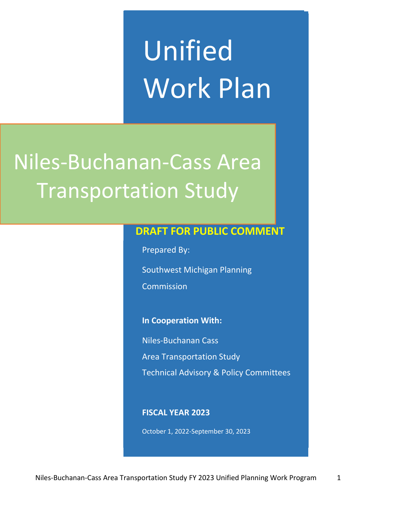# Unified Work Plan

## Niles-Buchanan-Cass Area Transportation Study

#### **DRAFT FOR PUBLIC COMMENT**

Prepared By:

Southwest Michigan Planning

Commission

#### **In Cooperation With:**

Niles-Buchanan Cass

Area Transportation Study

Technical Advisory & Policy Committees

#### **FISCAL YEAR 2023**

October 1, 2022-September 30, 2023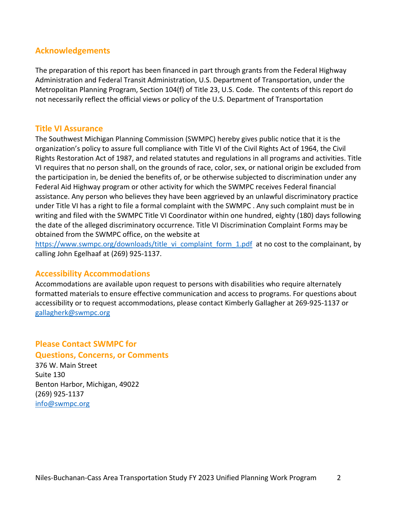#### **Acknowledgements**

The preparation of this report has been financed in part through grants from the Federal Highway Administration and Federal Transit Administration, U.S. Department of Transportation, under the Metropolitan Planning Program, Section 104(f) of Title 23, U.S. Code. The contents of this report do not necessarily reflect the official views or policy of the U.S. Department of Transportation

#### **Title VI Assurance**

The Southwest Michigan Planning Commission (SWMPC) hereby gives public notice that it is the organization's policy to assure full compliance with Title VI of the Civil Rights Act of 1964, the Civil Rights Restoration Act of 1987, and related statutes and regulations in all programs and activities. Title VI requires that no person shall, on the grounds of race, color, sex, or national origin be excluded from the participation in, be denied the benefits of, or be otherwise subjected to discrimination under any Federal Aid Highway program or other activity for which the SWMPC receives Federal financial assistance. Any person who believes they have been aggrieved by an unlawful discriminatory practice under Title VI has a right to file a formal complaint with the SWMPC . Any such complaint must be in writing and filed with the SWMPC Title VI Coordinator within one hundred, eighty (180) days following the date of the alleged discriminatory occurrence. Title VI Discrimination Complaint Forms may be obtained from the SWMPC office, on the website at

https://www.swmpc.org/downloads/title\_vi\_complaint\_form\_1.pdf at no cost to the complainant, by calling John Egelhaaf at (269) 925-1137.

#### **Accessibility Accommodations**

Accommodations are available upon request to persons with disabilities who require alternately formatted materials to ensure effective communication and access to programs. For questions about accessibility or to request accommodations, please contact Kimberly Gallagher at 269-925-1137 or gallagherk@swmpc.org

#### **Please Contact SWMPC for Questions, Concerns, or Comments**

376 W. Main Street Suite 130 Benton Harbor, Michigan, 49022 (269) 925-1137 info@swmpc.org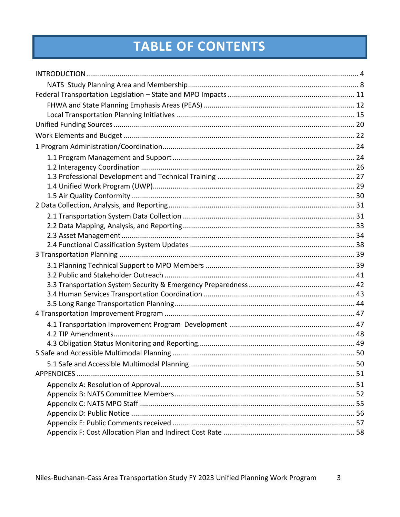### TABLE OF CONTENTS

| APPENDICES |  |
|------------|--|
|            |  |
|            |  |
|            |  |
|            |  |
|            |  |
|            |  |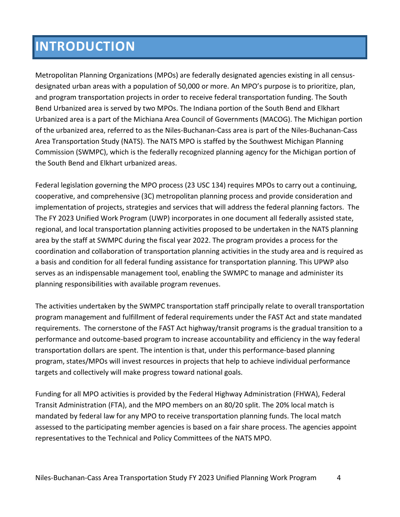### **INTRODUCTION**

Metropolitan Planning Organizations (MPOs) are federally designated agencies existing in all censusdesignated urban areas with a population of 50,000 or more. An MPO's purpose is to prioritize, plan, and program transportation projects in order to receive federal transportation funding. The South Bend Urbanized area is served by two MPOs. The Indiana portion of the South Bend and Elkhart Urbanized area is a part of the Michiana Area Council of Governments (MACOG). The Michigan portion of the urbanized area, referred to as the Niles-Buchanan-Cass area is part of the Niles-Buchanan-Cass Area Transportation Study (NATS). The NATS MPO is staffed by the Southwest Michigan Planning Commission (SWMPC), which is the federally recognized planning agency for the Michigan portion of the South Bend and Elkhart urbanized areas.

Federal legislation governing the MPO process (23 USC 134) requires MPOs to carry out a continuing, cooperative, and comprehensive (3C) metropolitan planning process and provide consideration and implementation of projects, strategies and services that will address the federal planning factors. The The FY 2023 Unified Work Program (UWP) incorporates in one document all federally assisted state, regional, and local transportation planning activities proposed to be undertaken in the NATS planning area by the staff at SWMPC during the fiscal year 2022. The program provides a process for the coordination and collaboration of transportation planning activities in the study area and is required as a basis and condition for all federal funding assistance for transportation planning. This UPWP also serves as an indispensable management tool, enabling the SWMPC to manage and administer its planning responsibilities with available program revenues.

The activities undertaken by the SWMPC transportation staff principally relate to overall transportation program management and fulfillment of federal requirements under the FAST Act and state mandated requirements. The cornerstone of the FAST Act highway/transit programs is the gradual transition to a performance and outcome-based program to increase accountability and efficiency in the way federal transportation dollars are spent. The intention is that, under this performance-based planning program, states/MPOs will invest resources in projects that help to achieve individual performance targets and collectively will make progress toward national goals.

Funding for all MPO activities is provided by the Federal Highway Administration (FHWA), Federal Transit Administration (FTA), and the MPO members on an 80/20 split. The 20% local match is mandated by federal law for any MPO to receive transportation planning funds. The local match assessed to the participating member agencies is based on a fair share process. The agencies appoint representatives to the Technical and Policy Committees of the NATS MPO.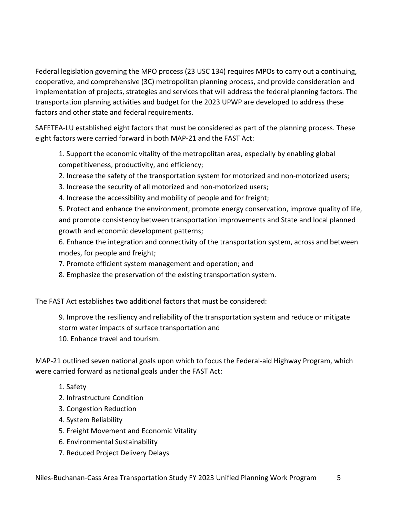Federal legislation governing the MPO process (23 USC 134) requires MPOs to carry out a continuing, cooperative, and comprehensive (3C) metropolitan planning process, and provide consideration and implementation of projects, strategies and services that will address the federal planning factors. The transportation planning activities and budget for the 2023 UPWP are developed to address these factors and other state and federal requirements.

SAFETEA-LU established eight factors that must be considered as part of the planning process. These eight factors were carried forward in both MAP-21 and the FAST Act:

1. Support the economic vitality of the metropolitan area, especially by enabling global competitiveness, productivity, and efficiency;

- 2. Increase the safety of the transportation system for motorized and non-motorized users;
- 3. Increase the security of all motorized and non-motorized users;
- 4. Increase the accessibility and mobility of people and for freight;

5. Protect and enhance the environment, promote energy conservation, improve quality of life, and promote consistency between transportation improvements and State and local planned growth and economic development patterns;

6. Enhance the integration and connectivity of the transportation system, across and between modes, for people and freight;

- 7. Promote efficient system management and operation; and
- 8. Emphasize the preservation of the existing transportation system.

The FAST Act establishes two additional factors that must be considered:

9. Improve the resiliency and reliability of the transportation system and reduce or mitigate storm water impacts of surface transportation and

10. Enhance travel and tourism.

MAP-21 outlined seven national goals upon which to focus the Federal-aid Highway Program, which were carried forward as national goals under the FAST Act:

- 1. Safety
- 2. Infrastructure Condition
- 3. Congestion Reduction
- 4. System Reliability
- 5. Freight Movement and Economic Vitality
- 6. Environmental Sustainability
- 7. Reduced Project Delivery Delays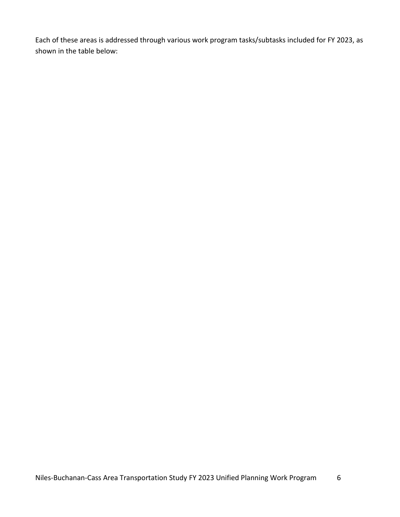Each of these areas is addressed through various work program tasks/subtasks included for FY 2023, as shown in the table below: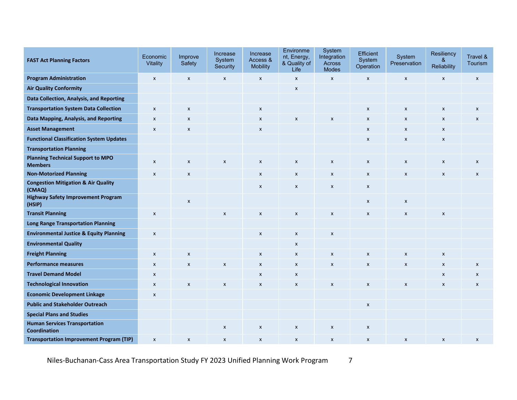| <b>FAST Act Planning Factors</b>                            | Economic<br><b>Vitality</b> | Improve<br>Safety         | Increase<br>System<br>Security | Increase<br>Access &<br><b>Mobility</b> | Environme<br>nt, Energy,<br>& Quality of<br>Life | System<br>Integration<br>Across<br><b>Modes</b> | Efficient<br>System<br>Operation | System<br>Preservation | Resiliency<br>&<br>Reliability | Travel &<br><b>Tourism</b> |
|-------------------------------------------------------------|-----------------------------|---------------------------|--------------------------------|-----------------------------------------|--------------------------------------------------|-------------------------------------------------|----------------------------------|------------------------|--------------------------------|----------------------------|
| <b>Program Administration</b>                               | $\boldsymbol{\mathsf{x}}$   | $\pmb{\mathsf{X}}$        | $\boldsymbol{x}$               | $\pmb{\chi}$                            | $\pmb{\mathsf{X}}$                               | $\pmb{\mathsf{x}}$                              | $\pmb{\chi}$                     | $\pmb{\mathsf{x}}$     | X                              | $\pmb{\mathsf{X}}$         |
| <b>Air Quality Conformity</b>                               |                             |                           |                                |                                         | $\pmb{\mathsf{x}}$                               |                                                 |                                  |                        |                                |                            |
| Data Collection, Analysis, and Reporting                    |                             |                           |                                |                                         |                                                  |                                                 |                                  |                        |                                |                            |
| <b>Transportation System Data Collection</b>                | $\pmb{\chi}$                | $\pmb{\chi}$              |                                | $\pmb{\mathsf{x}}$                      |                                                  |                                                 | $\boldsymbol{\mathsf{x}}$        | X                      | X                              | X                          |
| Data Mapping, Analysis, and Reporting                       | $\pmb{\mathsf{x}}$          | $\pmb{\chi}$              |                                | $\pmb{\chi}$                            | $\pmb{\mathsf{x}}$                               | $\pmb{\mathsf{x}}$                              | X                                | X                      | X                              | $\boldsymbol{\mathsf{x}}$  |
| <b>Asset Management</b>                                     | $\pmb{\mathsf{X}}$          | $\pmb{\chi}$              |                                | $\pmb{\times}$                          |                                                  |                                                 | $\pmb{\times}$                   | $\pmb{\mathsf{x}}$     | $\pmb{\times}$                 |                            |
| <b>Functional Classification System Updates</b>             |                             |                           |                                |                                         |                                                  |                                                 | $\boldsymbol{\mathsf{x}}$        | $\pmb{\times}$         | $\pmb{\mathsf{X}}$             |                            |
| <b>Transportation Planning</b>                              |                             |                           |                                |                                         |                                                  |                                                 |                                  |                        |                                |                            |
| <b>Planning Technical Support to MPO</b><br><b>Members</b>  | $\boldsymbol{\mathsf{x}}$   | $\boldsymbol{\mathsf{x}}$ | $\boldsymbol{x}$               | $\pmb{\chi}$                            | $\pmb{\mathsf{X}}$                               | X                                               | $\pmb{\chi}$                     | X                      | $\pmb{\chi}$                   | $\pmb{\mathsf{X}}$         |
| <b>Non-Motorized Planning</b>                               | $\pmb{\mathsf{x}}$          | $\pmb{\times}$            |                                | $\pmb{\chi}$                            | $\pmb{\times}$                                   | $\pmb{\times}$                                  | X                                | X                      | X                              | $\boldsymbol{\mathsf{x}}$  |
| <b>Congestion Mitigation &amp; Air Quality</b><br>(CMAQ)    |                             |                           |                                | $\pmb{\mathsf{x}}$                      | $\pmb{\mathsf{X}}$                               | $\pmb{\mathsf{x}}$                              | $\pmb{\chi}$                     |                        |                                |                            |
| <b>Highway Safety Improvement Program</b><br>(HSIP)         |                             | $\boldsymbol{\mathsf{x}}$ |                                |                                         |                                                  |                                                 | $\boldsymbol{\mathsf{x}}$        | X                      |                                |                            |
| <b>Transit Planning</b>                                     | $\pmb{\chi}$                |                           | X                              | $\pmb{\chi}$                            | $\pmb{\times}$                                   | $\pmb{\times}$                                  | X                                | X                      | $\pmb{\mathsf{x}}$             |                            |
| <b>Long Range Transportation Planning</b>                   |                             |                           |                                |                                         |                                                  |                                                 |                                  |                        |                                |                            |
| <b>Environmental Justice &amp; Equity Planning</b>          | $\boldsymbol{\mathsf{x}}$   |                           |                                | $\pmb{\chi}$                            | $\boldsymbol{x}$                                 | $\pmb{\times}$                                  |                                  |                        |                                |                            |
| <b>Environmental Quality</b>                                |                             |                           |                                |                                         | X                                                |                                                 |                                  |                        |                                |                            |
| <b>Freight Planning</b>                                     | $\boldsymbol{\mathsf{x}}$   | $\pmb{\chi}$              |                                | $\boldsymbol{\mathsf{x}}$               | $\boldsymbol{x}$                                 | $\pmb{\mathsf{x}}$                              | $\pmb{\chi}$                     | $\pmb{\mathsf{x}}$     | $\boldsymbol{\mathsf{x}}$      |                            |
| <b>Performance measures</b>                                 | $\boldsymbol{\mathsf{x}}$   | $\pmb{\mathsf{X}}$        | $\pmb{\mathsf{X}}$             | $\pmb{\chi}$                            | $\boldsymbol{x}$                                 | $\pmb{\mathsf{x}}$                              | $\pmb{\chi}$                     | X                      | $\pmb{\chi}$                   | $\pmb{\mathsf{X}}$         |
| <b>Travel Demand Model</b>                                  | $\boldsymbol{\mathsf{x}}$   |                           |                                | $\pmb{\times}$                          | X                                                |                                                 |                                  |                        | X                              | $\pmb{\mathsf{X}}$         |
| <b>Technological Innovation</b>                             | $\pmb{\chi}$                | $\pmb{\chi}$              | $\pmb{\mathsf{x}}$             | $\pmb{\times}$                          | $\pmb{\mathsf{x}}$                               | $\pmb{\times}$                                  | $\boldsymbol{\mathsf{x}}$        | $\pmb{\times}$         | X                              | $\pmb{\chi}$               |
| <b>Economic Development Linkage</b>                         | $\boldsymbol{\mathsf{x}}$   |                           |                                |                                         |                                                  |                                                 |                                  |                        |                                |                            |
| <b>Public and Stakeholder Outreach</b>                      |                             |                           |                                |                                         |                                                  |                                                 | X                                |                        |                                |                            |
| <b>Special Plans and Studies</b>                            |                             |                           |                                |                                         |                                                  |                                                 |                                  |                        |                                |                            |
| <b>Human Services Transportation</b><br><b>Coordination</b> |                             |                           | X                              | $\boldsymbol{\mathsf{x}}$               | $\boldsymbol{x}$                                 | $\pmb{\mathsf{x}}$                              | $\boldsymbol{\mathsf{x}}$        |                        |                                |                            |
| <b>Transportation Improvement Program (TIP)</b>             | $\pmb{\times}$              | $\pmb{\chi}$              | X                              | $\boldsymbol{\mathsf{x}}$               | $\pmb{\mathsf{x}}$                               | $\pmb{\times}$                                  | X                                | $\pmb{\times}$         | X                              | $\boldsymbol{\mathsf{x}}$  |

Niles-Buchanan-Cass Area Transportation Study FY 2023 Unified Planning Work Program 7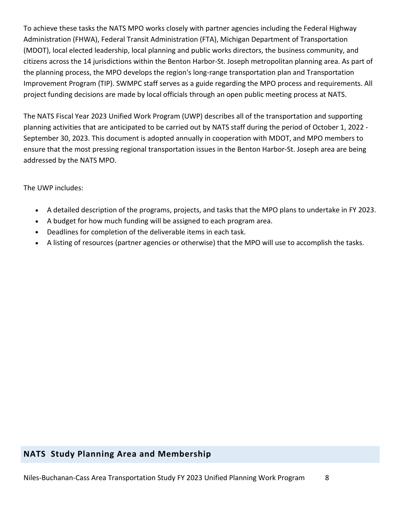To achieve these tasks the NATS MPO works closely with partner agencies including the Federal Highway Administration (FHWA), Federal Transit Administration (FTA), Michigan Department of Transportation (MDOT), local elected leadership, local planning and public works directors, the business community, and citizens across the 14 jurisdictions within the Benton Harbor-St. Joseph metropolitan planning area. As part of the planning process, the MPO develops the region's long-range transportation plan and Transportation Improvement Program (TIP). SWMPC staff serves as a guide regarding the MPO process and requirements. All project funding decisions are made by local officials through an open public meeting process at NATS.

The NATS Fiscal Year 2023 Unified Work Program (UWP) describes all of the transportation and supporting planning activities that are anticipated to be carried out by NATS staff during the period of October 1, 2022 - September 30, 2023. This document is adopted annually in cooperation with MDOT, and MPO members to ensure that the most pressing regional transportation issues in the Benton Harbor-St. Joseph area are being addressed by the NATS MPO.

The UWP includes:

- A detailed description of the programs, projects, and tasks that the MPO plans to undertake in FY 2023.
- A budget for how much funding will be assigned to each program area.
- Deadlines for completion of the deliverable items in each task.
- A listing of resources (partner agencies or otherwise) that the MPO will use to accomplish the tasks.

#### **NATS Study Planning Area and Membership**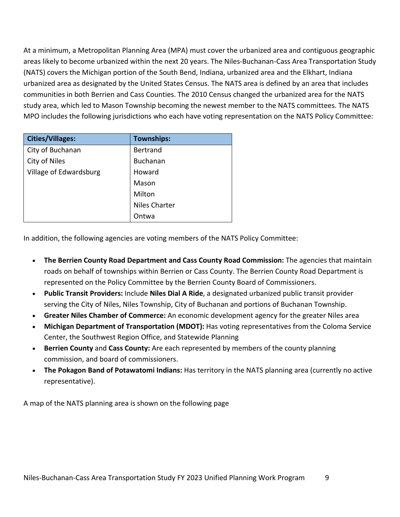At a minimum, a Metropolitan Planning Area (MPA) must cover the urbanized area and contiguous geographic areas likely to become urbanized within the next 20 years. The Niles-Buchanan-Cass Area Transportation Study (NATS) covers the Michigan portion of the South Bend, Indiana, urbanized area and the Elkhart, Indiana urbanized area as designated by the United States Census. The NATS area is defined by an area that includes communities in both Berrien and Cass Counties. The 2010 Census changed the urbanized area for the NATS study area, which led to Mason Township becoming the newest member to the NATS committees. The NATS MPO includes the following jurisdictions who each have voting representation on the NATS Policy Committee:

| <b>Cities/Villages:</b> | <b>Townships:</b>    |
|-------------------------|----------------------|
| City of Buchanan        | <b>Bertrand</b>      |
| City of Niles           | <b>Buchanan</b>      |
| Village of Edwardsburg  | Howard               |
|                         | Mason                |
|                         | Milton               |
|                         | <b>Niles Charter</b> |
|                         | Ontwa                |

In addition, the following agencies are voting members of the NATS Policy Committee:

- **The Berrien County Road Department and Cass County Road Commission:** The agencies that maintain roads on behalf of townships within Berrien or Cass County. The Berrien County Road Department is represented on the Policy Committee by the Berrien County Board of Commissioners.
- **Public Transit Providers:** Include **Niles Dial A Ride**, a designated urbanized public transit provider serving the City of Niles, Niles Township, City of Buchanan and portions of Buchanan Township.
- **Greater Niles Chamber of Commerce:** An economic development agency for the greater Niles area
- **Michigan Department of Transportation (MDOT):** Has voting representatives from the Coloma Service Center, the Southwest Region Office, and Statewide Planning
- **Berrien County** and **Cass County:** Are each represented by members of the county planning commission, and board of commissioners.
- **The Pokagon Band of Potawatomi Indians:** Has territory in the NATS planning area (currently no active representative).

A map of the NATS planning area is shown on the following page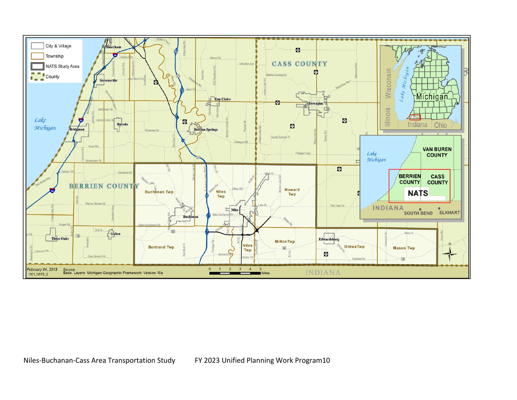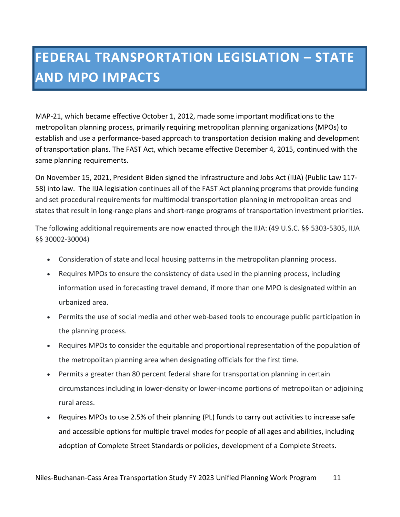### **FEDERAL TRANSPORTATION LEGISLATION – STATE AND MPO IMPACTS**

MAP-21, which became effective October 1, 2012, made some important modifications to the metropolitan planning process, primarily requiring metropolitan planning organizations (MPOs) to establish and use a performance-based approach to transportation decision making and development of transportation plans. The FAST Act, which became effective December 4, 2015, continued with the same planning requirements.

On November 15, 2021, President Biden signed the Infrastructure and Jobs Act (IIJA) (Public Law 117- 58) into law. The IIJA legislation continues all of the FAST Act planning programs that provide funding and set procedural requirements for multimodal transportation planning in metropolitan areas and states that result in long-range plans and short-range programs of transportation investment priorities.

The following additional requirements are now enacted through the IIJA: (49 U.S.C. §§ 5303-5305, IIJA §§ 30002-30004)

- Consideration of state and local housing patterns in the metropolitan planning process.
- Requires MPOs to ensure the consistency of data used in the planning process, including information used in forecasting travel demand, if more than one MPO is designated within an urbanized area.
- Permits the use of social media and other web-based tools to encourage public participation in the planning process.
- Requires MPOs to consider the equitable and proportional representation of the population of the metropolitan planning area when designating officials for the first time.
- Permits a greater than 80 percent federal share for transportation planning in certain circumstances including in lower-density or lower-income portions of metropolitan or adjoining rural areas.
- Requires MPOs to use 2.5% of their planning (PL) funds to carry out activities to increase safe and accessible options for multiple travel modes for people of all ages and abilities, including adoption of Complete Street Standards or policies, development of a Complete Streets.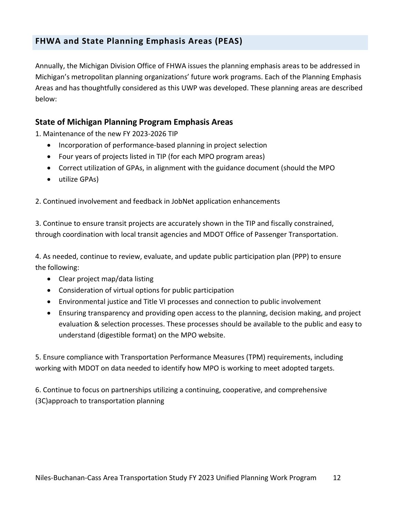Annually, the Michigan Division Office of FHWA issues the planning emphasis areas to be addressed in Michigan's metropolitan planning organizations' future work programs. Each of the Planning Emphasis Areas and has thoughtfully considered as this UWP was developed. These planning areas are described below:

#### **State of Michigan Planning Program Emphasis Areas**

1. Maintenance of the new FY 2023-2026 TIP

- Incorporation of performance-based planning in project selection
- Four years of projects listed in TIP (for each MPO program areas)
- Correct utilization of GPAs, in alignment with the guidance document (should the MPO
- utilize GPAs)

2. Continued involvement and feedback in JobNet application enhancements

3. Continue to ensure transit projects are accurately shown in the TIP and fiscally constrained, through coordination with local transit agencies and MDOT Office of Passenger Transportation.

4. As needed, continue to review, evaluate, and update public participation plan (PPP) to ensure the following:

- Clear project map/data listing
- Consideration of virtual options for public participation
- Environmental justice and Title VI processes and connection to public involvement
- Ensuring transparency and providing open access to the planning, decision making, and project evaluation & selection processes. These processes should be available to the public and easy to understand (digestible format) on the MPO website.

5. Ensure compliance with Transportation Performance Measures (TPM) requirements, including working with MDOT on data needed to identify how MPO is working to meet adopted targets.

6. Continue to focus on partnerships utilizing a continuing, cooperative, and comprehensive (3C)approach to transportation planning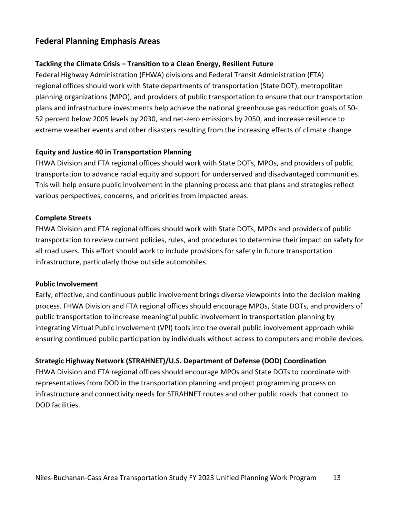#### **Federal Planning Emphasis Areas**

#### **Tackling the Climate Crisis – Transition to a Clean Energy, Resilient Future**

Federal Highway Administration (FHWA) divisions and Federal Transit Administration (FTA) regional offices should work with State departments of transportation (State DOT), metropolitan planning organizations (MPO), and providers of public transportation to ensure that our transportation plans and infrastructure investments help achieve the national greenhouse gas reduction goals of 50- 52 percent below 2005 levels by 2030, and net-zero emissions by 2050, and increase resilience to extreme weather events and other disasters resulting from the increasing effects of climate change

#### **Equity and Justice 40 in Transportation Planning**

FHWA Division and FTA regional offices should work with State DOTs, MPOs, and providers of public transportation to advance racial equity and support for underserved and disadvantaged communities. This will help ensure public involvement in the planning process and that plans and strategies reflect various perspectives, concerns, and priorities from impacted areas.

#### **Complete Streets**

FHWA Division and FTA regional offices should work with State DOTs, MPOs and providers of public transportation to review current policies, rules, and procedures to determine their impact on safety for all road users. This effort should work to include provisions for safety in future transportation infrastructure, particularly those outside automobiles.

#### **Public Involvement**

Early, effective, and continuous public involvement brings diverse viewpoints into the decision making process. FHWA Division and FTA regional offices should encourage MPOs, State DOTs, and providers of public transportation to increase meaningful public involvement in transportation planning by integrating Virtual Public Involvement (VPI) tools into the overall public involvement approach while ensuring continued public participation by individuals without access to computers and mobile devices.

#### **Strategic Highway Network (STRAHNET)/U.S. Department of Defense (DOD) Coordination**

FHWA Division and FTA regional offices should encourage MPOs and State DOTs to coordinate with representatives from DOD in the transportation planning and project programming process on infrastructure and connectivity needs for STRAHNET routes and other public roads that connect to DOD facilities.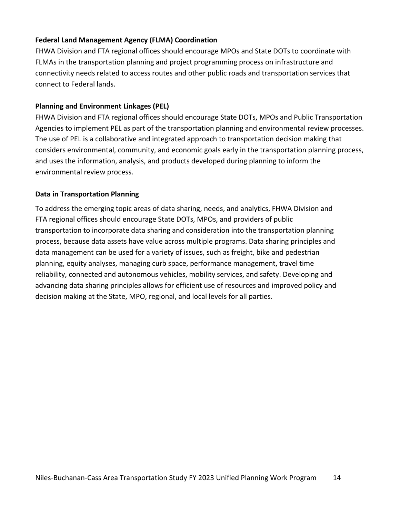#### **Federal Land Management Agency (FLMA) Coordination**

FHWA Division and FTA regional offices should encourage MPOs and State DOTs to coordinate with FLMAs in the transportation planning and project programming process on infrastructure and connectivity needs related to access routes and other public roads and transportation services that connect to Federal lands.

#### **Planning and Environment Linkages (PEL)**

FHWA Division and FTA regional offices should encourage State DOTs, MPOs and Public Transportation Agencies to implement PEL as part of the transportation planning and environmental review processes. The use of PEL is a collaborative and integrated approach to transportation decision making that considers environmental, community, and economic goals early in the transportation planning process, and uses the information, analysis, and products developed during planning to inform the environmental review process.

#### **Data in Transportation Planning**

To address the emerging topic areas of data sharing, needs, and analytics, FHWA Division and FTA regional offices should encourage State DOTs, MPOs, and providers of public transportation to incorporate data sharing and consideration into the transportation planning process, because data assets have value across multiple programs. Data sharing principles and data management can be used for a variety of issues, such as freight, bike and pedestrian planning, equity analyses, managing curb space, performance management, travel time reliability, connected and autonomous vehicles, mobility services, and safety. Developing and advancing data sharing principles allows for efficient use of resources and improved policy and decision making at the State, MPO, regional, and local levels for all parties.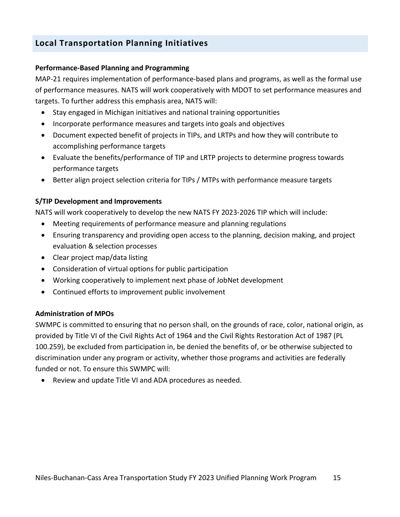#### **Local Transportation Planning Initiatives**

#### **Performance-Based Planning and Programming**

MAP-21 requires implementation of performance-based plans and programs, as well as the formal use of performance measures. NATS will work cooperatively with MDOT to set performance measures and targets. To further address this emphasis area, NATS will:

- Stay engaged in Michigan initiatives and national training opportunities
- Incorporate performance measures and targets into goals and objectives
- Document expected benefit of projects in TIPs, and LRTPs and how they will contribute to accomplishing performance targets
- Evaluate the benefits/performance of TIP and LRTP projects to determine progress towards performance targets
- Better align project selection criteria for TIPs / MTPs with performance measure targets

#### **S/TIP Development and Improvements**

NATS will work cooperatively to develop the new NATS FY 2023-2026 TIP which will include:

- Meeting requirements of performance measure and planning regulations
- Ensuring transparency and providing open access to the planning, decision making, and project evaluation & selection processes
- Clear project map/data listing
- Consideration of virtual options for public participation
- Working cooperatively to implement next phase of JobNet development
- Continued efforts to improvement public involvement

#### **Administration of MPOs**

SWMPC is committed to ensuring that no person shall, on the grounds of race, color, national origin, as provided by Title VI of the Civil Rights Act of 1964 and the Civil Rights Restoration Act of 1987 (PL 100.259), be excluded from participation in, be denied the benefits of, or be otherwise subjected to discrimination under any program or activity, whether those programs and activities are federally funded or not. To ensure this SWMPC will:

Review and update Title VI and ADA procedures as needed.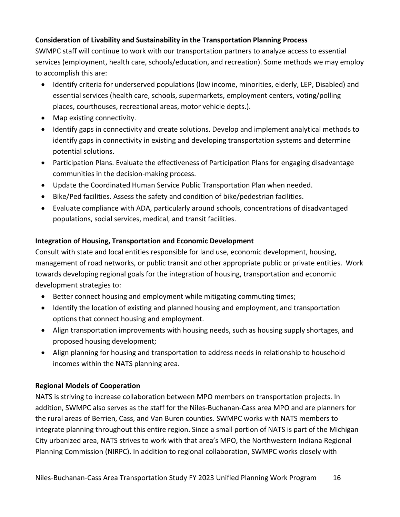#### **Consideration of Livability and Sustainability in the Transportation Planning Process**

SWMPC staff will continue to work with our transportation partners to analyze access to essential services (employment, health care, schools/education, and recreation). Some methods we may employ to accomplish this are:

- Identify criteria for underserved populations (low income, minorities, elderly, LEP, Disabled) and essential services (health care, schools, supermarkets, employment centers, voting/polling places, courthouses, recreational areas, motor vehicle depts.).
- Map existing connectivity.
- Identify gaps in connectivity and create solutions. Develop and implement analytical methods to identify gaps in connectivity in existing and developing transportation systems and determine potential solutions.
- Participation Plans. Evaluate the effectiveness of Participation Plans for engaging disadvantage communities in the decision-making process.
- Update the Coordinated Human Service Public Transportation Plan when needed.
- Bike/Ped facilities. Assess the safety and condition of bike/pedestrian facilities.
- Evaluate compliance with ADA, particularly around schools, concentrations of disadvantaged populations, social services, medical, and transit facilities.

#### **Integration of Housing, Transportation and Economic Development**

Consult with state and local entities responsible for land use, economic development, housing, management of road networks, or public transit and other appropriate public or private entities. Work towards developing regional goals for the integration of housing, transportation and economic development strategies to:

- Better connect housing and employment while mitigating commuting times;
- Identify the location of existing and planned housing and employment, and transportation options that connect housing and employment.
- Align transportation improvements with housing needs, such as housing supply shortages, and proposed housing development;
- Align planning for housing and transportation to address needs in relationship to household incomes within the NATS planning area.

#### **Regional Models of Cooperation**

NATS is striving to increase collaboration between MPO members on transportation projects. In addition, SWMPC also serves as the staff for the Niles-Buchanan-Cass area MPO and are planners for the rural areas of Berrien, Cass, and Van Buren counties. SWMPC works with NATS members to integrate planning throughout this entire region. Since a small portion of NATS is part of the Michigan City urbanized area, NATS strives to work with that area's MPO, the Northwestern Indiana Regional Planning Commission (NIRPC). In addition to regional collaboration, SWMPC works closely with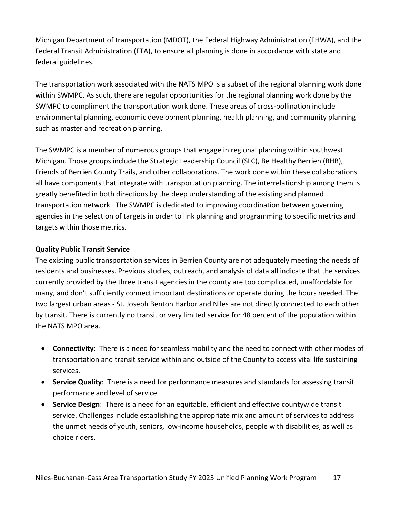Michigan Department of transportation (MDOT), the Federal Highway Administration (FHWA), and the Federal Transit Administration (FTA), to ensure all planning is done in accordance with state and federal guidelines.

The transportation work associated with the NATS MPO is a subset of the regional planning work done within SWMPC. As such, there are regular opportunities for the regional planning work done by the SWMPC to compliment the transportation work done. These areas of cross-pollination include environmental planning, economic development planning, health planning, and community planning such as master and recreation planning.

The SWMPC is a member of numerous groups that engage in regional planning within southwest Michigan. Those groups include the Strategic Leadership Council (SLC), Be Healthy Berrien (BHB), Friends of Berrien County Trails, and other collaborations. The work done within these collaborations all have components that integrate with transportation planning. The interrelationship among them is greatly benefited in both directions by the deep understanding of the existing and planned transportation network. The SWMPC is dedicated to improving coordination between governing agencies in the selection of targets in order to link planning and programming to specific metrics and targets within those metrics.

#### **Quality Public Transit Service**

The existing public transportation services in Berrien County are not adequately meeting the needs of residents and businesses. Previous studies, outreach, and analysis of data all indicate that the services currently provided by the three transit agencies in the county are too complicated, unaffordable for many, and don't sufficiently connect important destinations or operate during the hours needed. The two largest urban areas - St. Joseph Benton Harbor and Niles are not directly connected to each other by transit. There is currently no transit or very limited service for 48 percent of the population within the NATS MPO area.

- **Connectivity**: There is a need for seamless mobility and the need to connect with other modes of transportation and transit service within and outside of the County to access vital life sustaining services.
- **Service Quality**: There is a need for performance measures and standards for assessing transit performance and level of service.
- **Service Design**: There is a need for an equitable, efficient and effective countywide transit service. Challenges include establishing the appropriate mix and amount of services to address the unmet needs of youth, seniors, low-income households, people with disabilities, as well as choice riders.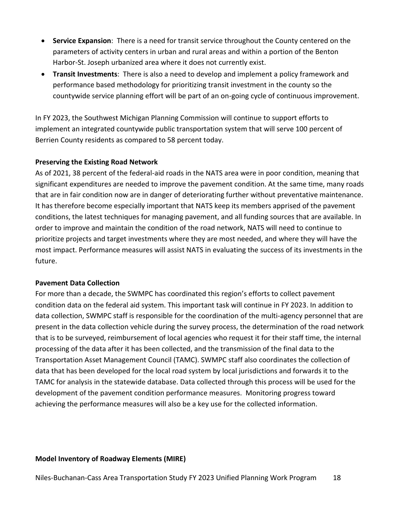- **Service Expansion**: There is a need for transit service throughout the County centered on the parameters of activity centers in urban and rural areas and within a portion of the Benton Harbor-St. Joseph urbanized area where it does not currently exist.
- **Transit Investments**: There is also a need to develop and implement a policy framework and performance based methodology for prioritizing transit investment in the county so the countywide service planning effort will be part of an on-going cycle of continuous improvement.

In FY 2023, the Southwest Michigan Planning Commission will continue to support efforts to implement an integrated countywide public transportation system that will serve 100 percent of Berrien County residents as compared to 58 percent today.

#### **Preserving the Existing Road Network**

As of 2021, 38 percent of the federal-aid roads in the NATS area were in poor condition, meaning that significant expenditures are needed to improve the pavement condition. At the same time, many roads that are in fair condition now are in danger of deteriorating further without preventative maintenance. It has therefore become especially important that NATS keep its members apprised of the pavement conditions, the latest techniques for managing pavement, and all funding sources that are available. In order to improve and maintain the condition of the road network, NATS will need to continue to prioritize projects and target investments where they are most needed, and where they will have the most impact. Performance measures will assist NATS in evaluating the success of its investments in the future.

#### **Pavement Data Collection**

For more than a decade, the SWMPC has coordinated this region's efforts to collect pavement condition data on the federal aid system. This important task will continue in FY 2023. In addition to data collection, SWMPC staff is responsible for the coordination of the multi-agency personnel that are present in the data collection vehicle during the survey process, the determination of the road network that is to be surveyed, reimbursement of local agencies who request it for their staff time, the internal processing of the data after it has been collected, and the transmission of the final data to the Transportation Asset Management Council (TAMC). SWMPC staff also coordinates the collection of data that has been developed for the local road system by local jurisdictions and forwards it to the TAMC for analysis in the statewide database. Data collected through this process will be used for the development of the pavement condition performance measures. Monitoring progress toward achieving the performance measures will also be a key use for the collected information.

#### **Model Inventory of Roadway Elements (MIRE)**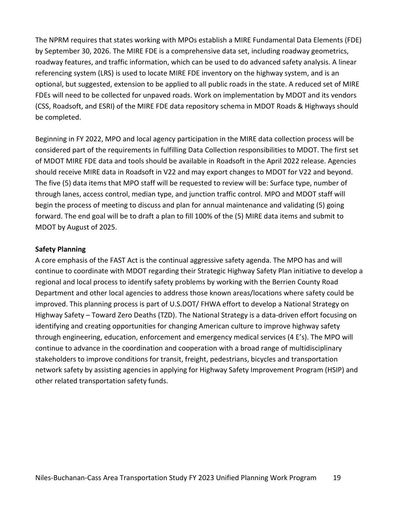The NPRM requires that states working with MPOs establish a MIRE Fundamental Data Elements (FDE) by September 30, 2026. The MIRE FDE is a comprehensive data set, including roadway geometrics, roadway features, and traffic information, which can be used to do advanced safety analysis. A linear referencing system (LRS) is used to locate MIRE FDE inventory on the highway system, and is an optional, but suggested, extension to be applied to all public roads in the state. A reduced set of MIRE FDEs will need to be collected for unpaved roads. Work on implementation by MDOT and its vendors (CSS, Roadsoft, and ESRI) of the MIRE FDE data repository schema in MDOT Roads & Highways should be completed.

Beginning in FY 2022, MPO and local agency participation in the MIRE data collection process will be considered part of the requirements in fulfilling Data Collection responsibilities to MDOT. The first set of MDOT MIRE FDE data and tools should be available in Roadsoft in the April 2022 release. Agencies should receive MIRE data in Roadsoft in V22 and may export changes to MDOT for V22 and beyond. The five (5) data items that MPO staff will be requested to review will be: Surface type, number of through lanes, access control, median type, and junction traffic control. MPO and MDOT staff will begin the process of meeting to discuss and plan for annual maintenance and validating (5) going forward. The end goal will be to draft a plan to fill 100% of the (5) MIRE data items and submit to MDOT by August of 2025.

#### **Safety Planning**

A core emphasis of the FAST Act is the continual aggressive safety agenda. The MPO has and will continue to coordinate with MDOT regarding their Strategic Highway Safety Plan initiative to develop a regional and local process to identify safety problems by working with the Berrien County Road Department and other local agencies to address those known areas/locations where safety could be improved. This planning process is part of U.S.DOT/ FHWA effort to develop a National Strategy on Highway Safety – Toward Zero Deaths (TZD). The National Strategy is a data-driven effort focusing on identifying and creating opportunities for changing American culture to improve highway safety through engineering, education, enforcement and emergency medical services (4 E's). The MPO will continue to advance in the coordination and cooperation with a broad range of multidisciplinary stakeholders to improve conditions for transit, freight, pedestrians, bicycles and transportation network safety by assisting agencies in applying for Highway Safety Improvement Program (HSIP) and other related transportation safety funds.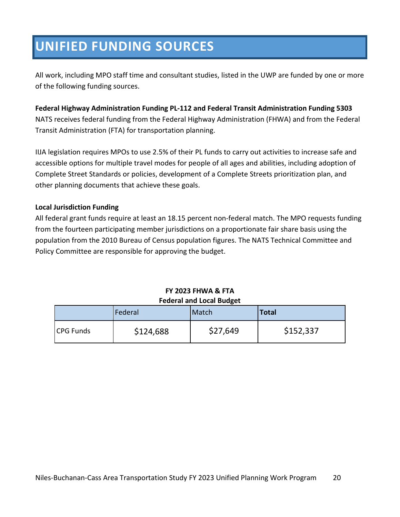### **UNIFIED FUNDING SOURCES**

All work, including MPO staff time and consultant studies, listed in the UWP are funded by one or more of the following funding sources.

**Federal Highway Administration Funding PL-112 and Federal Transit Administration Funding 5303** NATS receives federal funding from the Federal Highway Administration (FHWA) and from the Federal Transit Administration (FTA) for transportation planning.

IIJA legislation requires MPOs to use 2.5% of their PL funds to carry out activities to increase safe and accessible options for multiple travel modes for people of all ages and abilities, including adoption of Complete Street Standards or policies, development of a Complete Streets prioritization plan, and other planning documents that achieve these goals.

#### **Local Jurisdiction Funding**

All federal grant funds require at least an 18.15 percent non-federal match. The MPO requests funding from the fourteen participating member jurisdictions on a proportionate fair share basis using the population from the 2010 Bureau of Census population figures. The NATS Technical Committee and Policy Committee are responsible for approving the budget.

#### **FY 2023 FHWA & FTA Federal and Local Budget**

|                  | Federal   | Match    | <b>Total</b> |
|------------------|-----------|----------|--------------|
| <b>CPG Funds</b> | \$124,688 | \$27,649 | \$152,337    |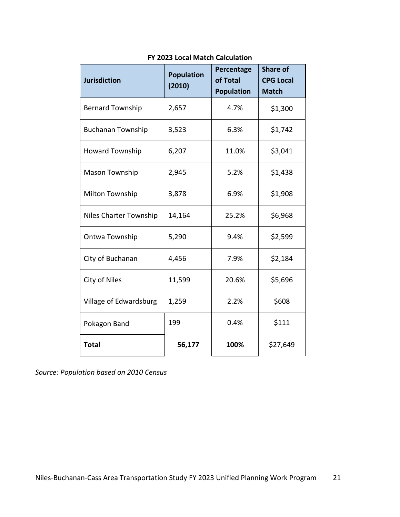| <b>Jurisdiction</b>      | <b>Population</b><br>(2010) | Percentage<br>of Total<br><b>Population</b> | <b>Share of</b><br><b>CPG Local</b><br><b>Match</b> |
|--------------------------|-----------------------------|---------------------------------------------|-----------------------------------------------------|
| <b>Bernard Township</b>  | 2,657                       | 4.7%                                        | \$1,300                                             |
| <b>Buchanan Township</b> | 3,523                       | 6.3%                                        | \$1,742                                             |
| <b>Howard Township</b>   | 6,207                       | 11.0%                                       | \$3,041                                             |
| Mason Township           | 2,945                       | 5.2%                                        | \$1,438                                             |
| <b>Milton Township</b>   | 3,878                       | 6.9%                                        | \$1,908                                             |
| Niles Charter Township   | 14,164                      | 25.2%                                       | \$6,968                                             |
| Ontwa Township           | 5,290                       | 9.4%                                        | \$2,599                                             |
| City of Buchanan         | 4,456                       | 7.9%                                        | \$2,184                                             |
| City of Niles            | 11,599                      | 20.6%                                       | \$5,696                                             |
| Village of Edwardsburg   | 1,259                       | 2.2%                                        | \$608                                               |
| Pokagon Band             | 199                         | 0.4%                                        | \$111                                               |
| <b>Total</b>             | 56,177                      | 100%                                        | \$27,649                                            |

#### **FY 2023 Local Match Calculation**

*Source: Population based on 2010 Census*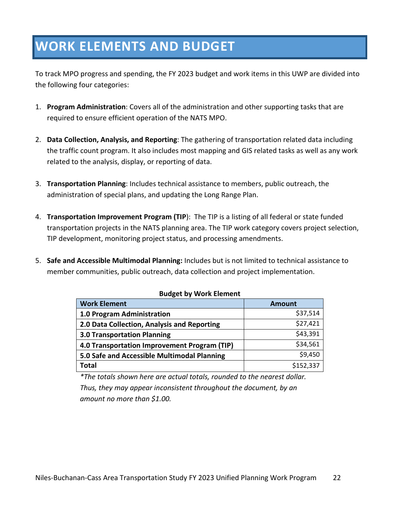### **WORK ELEMENTS AND BUDGET**

To track MPO progress and spending, the FY 2023 budget and work items in this UWP are divided into the following four categories:

- 1. **Program Administration**: Covers all of the administration and other supporting tasks that are required to ensure efficient operation of the NATS MPO.
- 2. **Data Collection, Analysis, and Reporting**: The gathering of transportation related data including the traffic count program. It also includes most mapping and GIS related tasks as well as any work related to the analysis, display, or reporting of data.
- 3. **Transportation Planning**: Includes technical assistance to members, public outreach, the administration of special plans, and updating the Long Range Plan.
- 4. **Transportation Improvement Program (TIP**): The TIP is a listing of all federal or state funded transportation projects in the NATS planning area. The TIP work category covers project selection, TIP development, monitoring project status, and processing amendments.
- 5. **Safe and Accessible Multimodal Planning:** Includes but is not limited to technical assistance to member communities, public outreach, data collection and project implementation.

| <b>Amount</b> |
|---------------|
| \$37,514      |
| \$27,421      |
| \$43,391      |
| \$34,561      |
| \$9,450       |
| \$152,337     |
|               |

#### **Budget by Work Element**

*\*The totals shown here are actual totals, rounded to the nearest dollar. Thus, they may appear inconsistent throughout the document, by an amount no more than \$1.00.*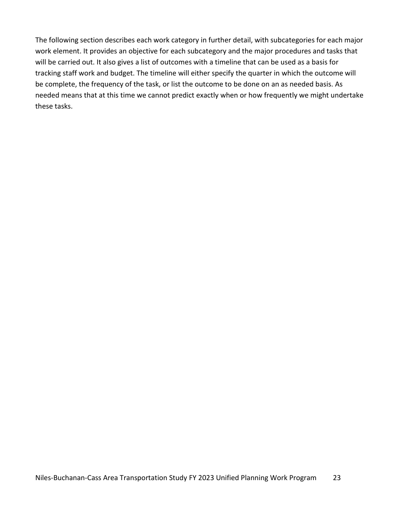The following section describes each work category in further detail, with subcategories for each major work element. It provides an objective for each subcategory and the major procedures and tasks that will be carried out. It also gives a list of outcomes with a timeline that can be used as a basis for tracking staff work and budget. The timeline will either specify the quarter in which the outcome will be complete, the frequency of the task, or list the outcome to be done on an as needed basis. As needed means that at this time we cannot predict exactly when or how frequently we might undertake these tasks.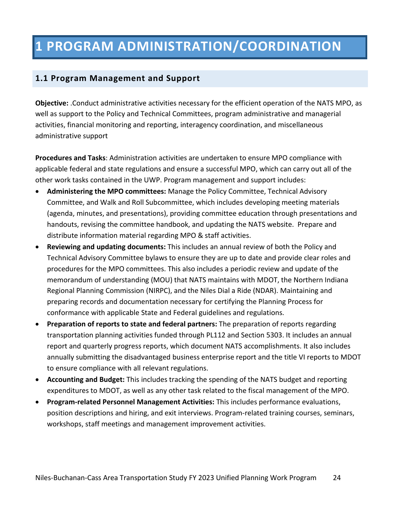### **1 PROGRAM ADMINISTRATION/COORDINATION**

#### **1.1 Program Management and Support**

**Objective:** .Conduct administrative activities necessary for the efficient operation of the NATS MPO, as well as support to the Policy and Technical Committees, program administrative and managerial activities, financial monitoring and reporting, interagency coordination, and miscellaneous administrative support

**Procedures and Tasks**: Administration activities are undertaken to ensure MPO compliance with applicable federal and state regulations and ensure a successful MPO, which can carry out all of the other work tasks contained in the UWP. Program management and support includes:

- **Administering the MPO committees:** Manage the Policy Committee, Technical Advisory Committee, and Walk and Roll Subcommittee, which includes developing meeting materials (agenda, minutes, and presentations), providing committee education through presentations and handouts, revising the committee handbook, and updating the NATS website. Prepare and distribute information material regarding MPO & staff activities.
- **Reviewing and updating documents:** This includes an annual review of both the Policy and Technical Advisory Committee bylaws to ensure they are up to date and provide clear roles and procedures for the MPO committees. This also includes a periodic review and update of the memorandum of understanding (MOU) that NATS maintains with MDOT, the Northern Indiana Regional Planning Commission (NIRPC), and the Niles Dial a Ride (NDAR). Maintaining and preparing records and documentation necessary for certifying the Planning Process for conformance with applicable State and Federal guidelines and regulations.
- **Preparation of reports to state and federal partners:** The preparation of reports regarding transportation planning activities funded through PL112 and Section 5303. It includes an annual report and quarterly progress reports, which document NATS accomplishments. It also includes annually submitting the disadvantaged business enterprise report and the title VI reports to MDOT to ensure compliance with all relevant regulations.
- **Accounting and Budget:** This includes tracking the spending of the NATS budget and reporting expenditures to MDOT, as well as any other task related to the fiscal management of the MPO.
- **Program-related Personnel Management Activities:** This includes performance evaluations, position descriptions and hiring, and exit interviews. Program-related training courses, seminars, workshops, staff meetings and management improvement activities.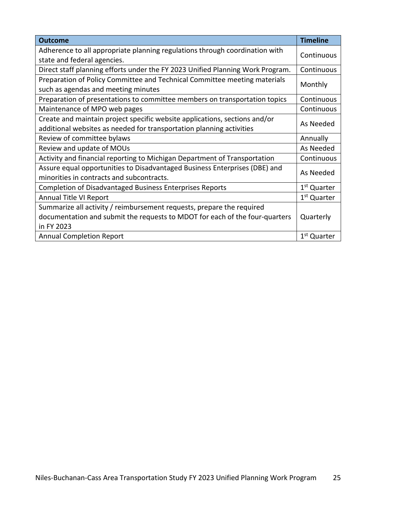| <b>Outcome</b>                                                                 | <b>Timeline</b>         |
|--------------------------------------------------------------------------------|-------------------------|
| Adherence to all appropriate planning regulations through coordination with    | Continuous              |
| state and federal agencies.                                                    |                         |
| Direct staff planning efforts under the FY 2023 Unified Planning Work Program. | Continuous              |
| Preparation of Policy Committee and Technical Committee meeting materials      |                         |
| such as agendas and meeting minutes                                            | Monthly                 |
| Preparation of presentations to committee members on transportation topics     | Continuous              |
| Maintenance of MPO web pages                                                   | Continuous              |
| Create and maintain project specific website applications, sections and/or     |                         |
| additional websites as needed for transportation planning activities           | As Needed               |
| Review of committee bylaws                                                     | Annually                |
| Review and update of MOUs                                                      | As Needed               |
| Activity and financial reporting to Michigan Department of Transportation      | Continuous              |
| Assure equal opportunities to Disadvantaged Business Enterprises (DBE) and     | As Needed               |
| minorities in contracts and subcontracts.                                      |                         |
| <b>Completion of Disadvantaged Business Enterprises Reports</b>                | 1 <sup>st</sup> Quarter |
| Annual Title VI Report                                                         | 1 <sup>st</sup> Quarter |
| Summarize all activity / reimbursement requests, prepare the required          |                         |
| documentation and submit the requests to MDOT for each of the four-quarters    | Quarterly               |
| in FY 2023                                                                     |                         |
| <b>Annual Completion Report</b>                                                | 1 <sup>st</sup> Quarter |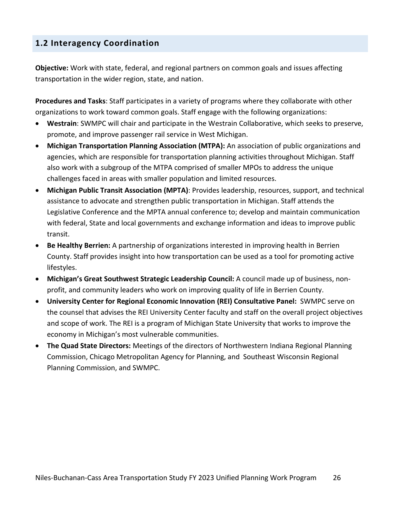#### **1.2 Interagency Coordination**

**Objective:** Work with state, federal, and regional partners on common goals and issues affecting transportation in the wider region, state, and nation.

**Procedures and Tasks**: Staff participates in a variety of programs where they collaborate with other organizations to work toward common goals. Staff engage with the following organizations:

- **Westrain**: SWMPC will chair and participate in the Westrain Collaborative, which seeks to preserve, promote, and improve passenger rail service in West Michigan.
- **Michigan Transportation Planning Association (MTPA):** An association of public organizations and agencies, which are responsible for transportation planning activities throughout Michigan. Staff also work with a subgroup of the MTPA comprised of smaller MPOs to address the unique challenges faced in areas with smaller population and limited resources.
- **Michigan Public Transit Association (MPTA)**: Provides leadership, resources, support, and technical assistance to advocate and strengthen public transportation in Michigan. Staff attends the Legislative Conference and the MPTA annual conference to; develop and maintain communication with federal, State and local governments and exchange information and ideas to improve public transit.
- **Be Healthy Berrien:** A partnership of organizations interested in improving health in Berrien County. Staff provides insight into how transportation can be used as a tool for promoting active lifestyles.
- **Michigan's Great Southwest Strategic Leadership Council:** A council made up of business, nonprofit, and community leaders who work on improving quality of life in Berrien County.
- **University Center for Regional Economic Innovation (REI) Consultative Panel:** SWMPC serve on the counsel that advises the REI University Center faculty and staff on the overall project objectives and scope of work. The REI is a program of Michigan State University that works to improve the economy in Michigan's most vulnerable communities.
- **The Quad State Directors:** Meetings of the directors of Northwestern Indiana Regional Planning Commission, Chicago Metropolitan Agency for Planning, and Southeast Wisconsin Regional Planning Commission, and SWMPC.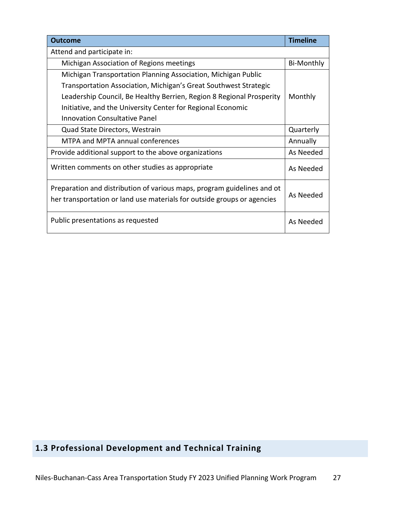| <b>Outcome</b>                                                                                                                                     | <b>Timeline</b>   |
|----------------------------------------------------------------------------------------------------------------------------------------------------|-------------------|
| Attend and participate in:                                                                                                                         |                   |
| Michigan Association of Regions meetings                                                                                                           | <b>Bi-Monthly</b> |
| Michigan Transportation Planning Association, Michigan Public                                                                                      |                   |
| Transportation Association, Michigan's Great Southwest Strategic                                                                                   |                   |
| Leadership Council, Be Healthy Berrien, Region 8 Regional Prosperity                                                                               | Monthly           |
| Initiative, and the University Center for Regional Economic                                                                                        |                   |
| <b>Innovation Consultative Panel</b>                                                                                                               |                   |
| Quad State Directors, Westrain                                                                                                                     | Quarterly         |
| MTPA and MPTA annual conferences                                                                                                                   | Annually          |
| Provide additional support to the above organizations                                                                                              | As Needed         |
| Written comments on other studies as appropriate                                                                                                   | As Needed         |
| Preparation and distribution of various maps, program guidelines and ot<br>her transportation or land use materials for outside groups or agencies | As Needed         |
| Public presentations as requested                                                                                                                  | As Needed         |

#### **1.3 Professional Development and Technical Training**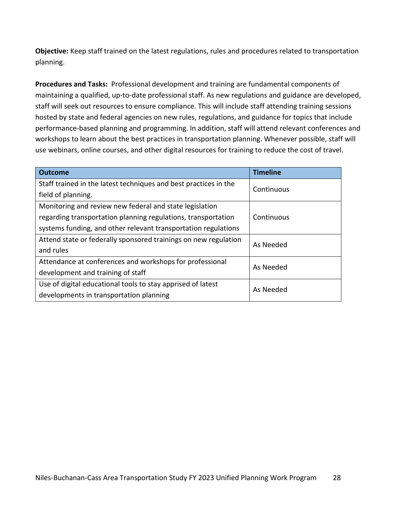**Objective:** Keep staff trained on the latest regulations, rules and procedures related to transportation planning.

**Procedures and Tasks:** Professional development and training are fundamental components of maintaining a qualified, up-to-date professional staff. As new regulations and guidance are developed, staff will seek out resources to ensure compliance. This will include staff attending training sessions hosted by state and federal agencies on new rules, regulations, and guidance for topics that include performance-based planning and programming. In addition, staff will attend relevant conferences and workshops to learn about the best practices in transportation planning. Whenever possible, staff will use webinars, online courses, and other digital resources for training to reduce the cost of travel.

| <b>Outcome</b>                                                        | <b>Timeline</b> |  |
|-----------------------------------------------------------------------|-----------------|--|
| Staff trained in the latest techniques and best practices in the      | Continuous      |  |
| field of planning.                                                    |                 |  |
| Monitoring and review new federal and state legislation               |                 |  |
| regarding transportation planning regulations, transportation         | Continuous      |  |
| systems funding, and other relevant transportation regulations        |                 |  |
| Attend state or federally sponsored trainings on new regulation       | As Needed       |  |
| and rules                                                             |                 |  |
| Attendance at conferences and workshops for professional<br>As Needed |                 |  |
| development and training of staff                                     |                 |  |
| Use of digital educational tools to stay apprised of latest           | As Needed       |  |
| developments in transportation planning                               |                 |  |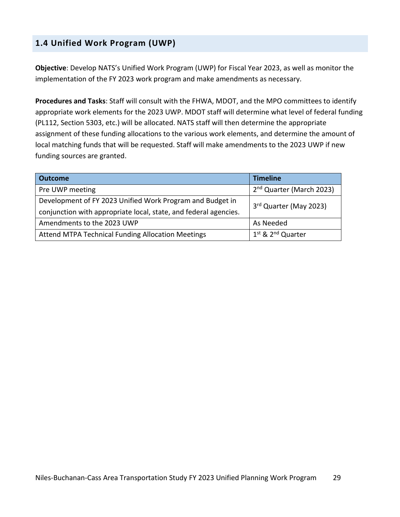#### **1.4 Unified Work Program (UWP)**

**Objective**: Develop NATS's Unified Work Program (UWP) for Fiscal Year 2023, as well as monitor the implementation of the FY 2023 work program and make amendments as necessary.

**Procedures and Tasks**: Staff will consult with the FHWA, MDOT, and the MPO committees to identify appropriate work elements for the 2023 UWP. MDOT staff will determine what level of federal funding (PL112, Section 5303, etc.) will be allocated. NATS staff will then determine the appropriate assignment of these funding allocations to the various work elements, and determine the amount of local matching funds that will be requested. Staff will make amendments to the 2023 UWP if new funding sources are granted.

| <b>Outcome</b>                                                   | <b>Timeline</b>                      |  |
|------------------------------------------------------------------|--------------------------------------|--|
| Pre UWP meeting                                                  | 2 <sup>nd</sup> Quarter (March 2023) |  |
| Development of FY 2023 Unified Work Program and Budget in        | 3rd Quarter (May 2023)               |  |
| conjunction with appropriate local, state, and federal agencies. |                                      |  |
| Amendments to the 2023 UWP                                       | As Needed                            |  |
| <b>Attend MTPA Technical Funding Allocation Meetings</b>         | 1st & 2 <sup>nd</sup> Quarter        |  |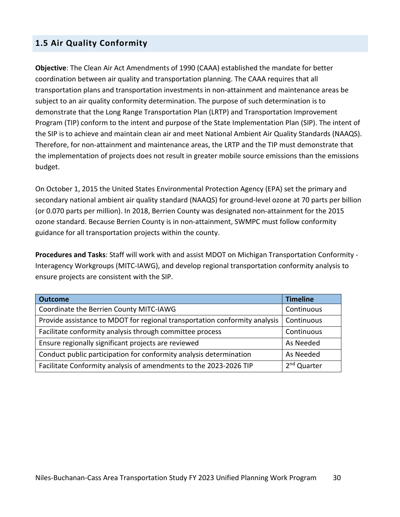#### **1.5 Air Quality Conformity**

**Objective**: The Clean Air Act Amendments of 1990 (CAAA) established the mandate for better coordination between air quality and transportation planning. The CAAA requires that all transportation plans and transportation investments in non-attainment and maintenance areas be subject to an air quality conformity determination. The purpose of such determination is to demonstrate that the Long Range Transportation Plan (LRTP) and Transportation Improvement Program (TIP) conform to the intent and purpose of the State Implementation Plan (SIP). The intent of the SIP is to achieve and maintain clean air and meet National Ambient Air Quality Standards (NAAQS). Therefore, for non-attainment and maintenance areas, the LRTP and the TIP must demonstrate that the implementation of projects does not result in greater mobile source emissions than the emissions budget.

On October 1, 2015 the United States Environmental Protection Agency (EPA) set the primary and secondary national ambient air quality standard (NAAQS) for ground-level ozone at 70 parts per billion (or 0.070 parts per million). In 2018, Berrien County was designated non-attainment for the 2015 ozone standard. Because Berrien County is in non-attainment, SWMPC must follow conformity guidance for all transportation projects within the county.

**Procedures and Tasks**: Staff will work with and assist MDOT on Michigan Transportation Conformity - Interagency Workgroups (MITC-IAWG), and develop regional transportation conformity analysis to ensure projects are consistent with the SIP.

| <b>Outcome</b>                                                             | <b>Timeline</b>         |
|----------------------------------------------------------------------------|-------------------------|
| Coordinate the Berrien County MITC-IAWG                                    | Continuous              |
| Provide assistance to MDOT for regional transportation conformity analysis | Continuous              |
| Facilitate conformity analysis through committee process                   | Continuous              |
| Ensure regionally significant projects are reviewed                        | As Needed               |
| Conduct public participation for conformity analysis determination         | As Needed               |
| Facilitate Conformity analysis of amendments to the 2023-2026 TIP          | 2 <sup>nd</sup> Quarter |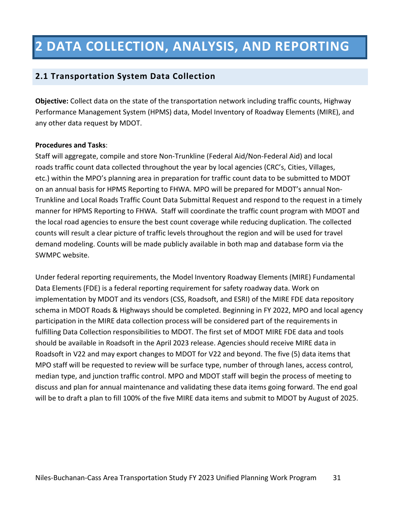### **2 DATA COLLECTION, ANALYSIS, AND REPORTING**

#### **2.1 Transportation System Data Collection**

**Objective:** Collect data on the state of the transportation network including traffic counts, Highway Performance Management System (HPMS) data, Model Inventory of Roadway Elements (MIRE), and any other data request by MDOT.

#### **Procedures and Tasks**:

Staff will aggregate, compile and store Non-Trunkline (Federal Aid/Non-Federal Aid) and local roads traffic count data collected throughout the year by local agencies (CRC's, Cities, Villages, etc.) within the MPO's planning area in preparation for traffic count data to be submitted to MDOT on an annual basis for HPMS Reporting to FHWA. MPO will be prepared for MDOT's annual Non-Trunkline and Local Roads Traffic Count Data Submittal Request and respond to the request in a timely manner for HPMS Reporting to FHWA.  Staff will coordinate the traffic count program with MDOT and the local road agencies to ensure the best count coverage while reducing duplication. The collected counts will result a clear picture of traffic levels throughout the region and will be used for travel demand modeling. Counts will be made publicly available in both map and database form via the SWMPC website.

Under federal reporting requirements, the Model Inventory Roadway Elements (MIRE) Fundamental Data Elements (FDE) is a federal reporting requirement for safety roadway data. Work on implementation by MDOT and its vendors (CSS, Roadsoft, and ESRI) of the MIRE FDE data repository schema in MDOT Roads & Highways should be completed. Beginning in FY 2022, MPO and local agency participation in the MIRE data collection process will be considered part of the requirements in fulfilling Data Collection responsibilities to MDOT. The first set of MDOT MIRE FDE data and tools should be available in Roadsoft in the April 2023 release. Agencies should receive MIRE data in Roadsoft in V22 and may export changes to MDOT for V22 and beyond. The five (5) data items that MPO staff will be requested to review will be surface type, number of through lanes, access control, median type, and junction traffic control. MPO and MDOT staff will begin the process of meeting to discuss and plan for annual maintenance and validating these data items going forward. The end goal will be to draft a plan to fill 100% of the five MIRE data items and submit to MDOT by August of 2025.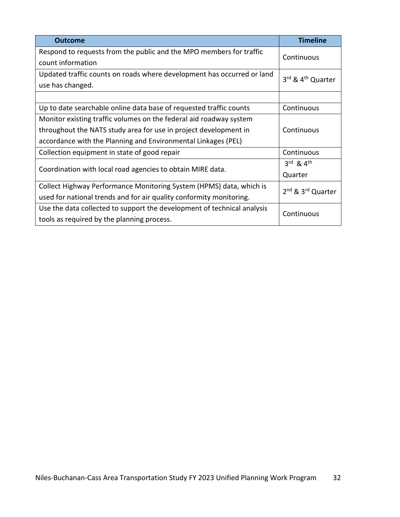| <b>Outcome</b>                                                          | <b>Timeline</b>                           |  |
|-------------------------------------------------------------------------|-------------------------------------------|--|
| Respond to requests from the public and the MPO members for traffic     |                                           |  |
| count information                                                       | Continuous                                |  |
| Updated traffic counts on roads where development has occurred or land  | 3rd & 4 <sup>th</sup> Quarter             |  |
| use has changed.                                                        |                                           |  |
|                                                                         |                                           |  |
| Up to date searchable online data base of requested traffic counts      | Continuous                                |  |
| Monitor existing traffic volumes on the federal aid roadway system      |                                           |  |
| throughout the NATS study area for use in project development in        | Continuous                                |  |
| accordance with the Planning and Environmental Linkages (PEL)           |                                           |  |
| Collection equipment in state of good repair                            | Continuous                                |  |
|                                                                         | $3^{\text{rd}}$ & $4^{\text{th}}$         |  |
| Coordination with local road agencies to obtain MIRE data.              | Quarter                                   |  |
| Collect Highway Performance Monitoring System (HPMS) data, which is     | 2 <sup>nd</sup> & 3 <sup>rd</sup> Quarter |  |
| used for national trends and for air quality conformity monitoring.     |                                           |  |
| Use the data collected to support the development of technical analysis | Continuous                                |  |
| tools as required by the planning process.                              |                                           |  |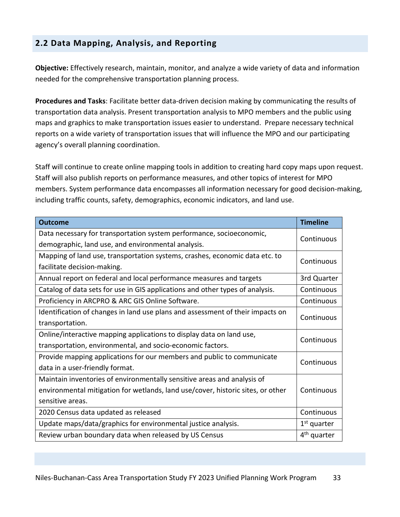#### **2.2 Data Mapping, Analysis, and Reporting**

**Objective:** Effectively research, maintain, monitor, and analyze a wide variety of data and information needed for the comprehensive transportation planning process.

**Procedures and Tasks**: Facilitate better data-driven decision making by communicating the results of transportation data analysis. Present transportation analysis to MPO members and the public using maps and graphics to make transportation issues easier to understand. Prepare necessary technical reports on a wide variety of transportation issues that will influence the MPO and our participating agency's overall planning coordination.

Staff will continue to create online mapping tools in addition to creating hard copy maps upon request. Staff will also publish reports on performance measures, and other topics of interest for MPO members. System performance data encompasses all information necessary for good decision-making, including traffic counts, safety, demographics, economic indicators, and land use.

| <b>Outcome</b>                                                                  | <b>Timeline</b>         |
|---------------------------------------------------------------------------------|-------------------------|
| Data necessary for transportation system performance, socioeconomic,            | Continuous              |
| demographic, land use, and environmental analysis.                              |                         |
| Mapping of land use, transportation systems, crashes, economic data etc. to     | Continuous              |
| facilitate decision-making.                                                     |                         |
| Annual report on federal and local performance measures and targets             | 3rd Quarter             |
| Catalog of data sets for use in GIS applications and other types of analysis.   | Continuous              |
| Proficiency in ARCPRO & ARC GIS Online Software.                                | Continuous              |
| Identification of changes in land use plans and assessment of their impacts on  | Continuous              |
| transportation.                                                                 |                         |
| Online/interactive mapping applications to display data on land use,            | Continuous              |
| transportation, environmental, and socio-economic factors.                      |                         |
| Provide mapping applications for our members and public to communicate          | Continuous              |
| data in a user-friendly format.                                                 |                         |
| Maintain inventories of environmentally sensitive areas and analysis of         |                         |
| environmental mitigation for wetlands, land use/cover, historic sites, or other | Continuous              |
| sensitive areas.                                                                |                         |
| 2020 Census data updated as released                                            | Continuous              |
| Update maps/data/graphics for environmental justice analysis.                   | $1st$ quarter           |
| Review urban boundary data when released by US Census                           | 4 <sup>th</sup> quarter |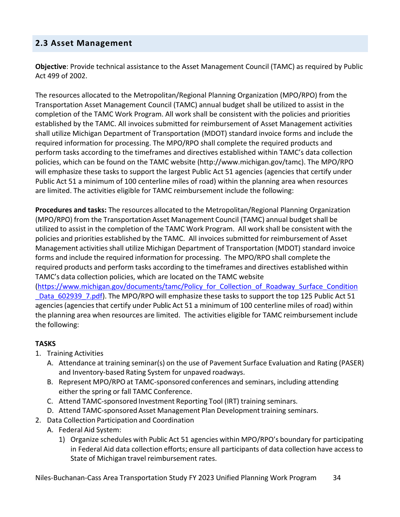#### **2.3 Asset Management**

**Objective**: Provide technical assistance to the Asset Management Council (TAMC) as required by Public Act 499 of 2002.

The resources allocated to the Metropolitan/Regional Planning Organization (MPO/RPO) from the Transportation Asset Management Council (TAMC) annual budget shall be utilized to assist in the completion of the TAMC Work Program. All work shall be consistent with the policies and priorities established by the TAMC. All invoices submitted for reimbursement of Asset Management activities shall utilize Michigan Department of Transportation (MDOT) standard invoice forms and include the required information for processing. The MPO/RPO shall complete the required products and perform tasks according to the timeframes and directives established within TAMC's data collection policies, which can be found on the TAMC website (http://www.michigan.gov/tamc). The MPO/RPO will emphasize these tasks to support the largest Public Act 51 agencies (agencies that certify under Public Act 51 a minimum of 100 centerline miles of road) within the planning area when resources are limited. The activities eligible for TAMC reimbursement include the following:

**Procedures and tasks:** The resources allocated to the Metropolitan/Regional Planning Organization (MPO/RPO) from the Transportation Asset Management Council (TAMC) annual budget shall be utilized to assist in the completion of the TAMC Work Program. All work shall be consistent with the policies and priorities established by the TAMC. All invoices submitted for reimbursement of Asset Management activitiesshall utilize Michigan Department of Transportation (MDOT) standard invoice forms and include the required information for processing. The MPO/RPO shall complete the required products and perform tasks according to the timeframes and directives established within TAMC's data collection policies, which are located on the TAMC website

(https://www.michigan.gov/documents/tamc/Policy\_for\_Collection\_of\_Roadway\_Surface\_Condition Data 602939 7.pdf). The MPO/RPO will emphasize these tasks to support the top 125 Public Act 51 agencies (agencies that certify under Public Act 51 a minimum of 100 centerline miles of road) within the planning area when resources are limited. The activities eligible for TAMC reimbursementinclude the following:

#### **TASKS**

- 1. Training Activities
	- A. Attendance at training seminar(s) on the use of Pavement Surface Evaluation and Rating (PASER) and Inventory-based Rating System for unpaved roadways.
	- B. Represent MPO/RPO at TAMC-sponsored conferences and seminars, including attending either the spring or fall TAMC Conference.
	- C. Attend TAMC-sponsored Investment Reporting Tool (IRT) training seminars.
	- D. Attend TAMC-sponsored Asset Management Plan Development training seminars.
- 2. Data Collection Participation and Coordination
	- A. Federal Aid System:
		- 1) Organize schedules with Public Act 51 agencies within MPO/RPO's boundary for participating in Federal Aid data collection efforts; ensure all participants of data collection have accessto State of Michigan travel reimbursement rates.

Niles-Buchanan-Cass Area Transportation Study FY 2023 Unified Planning Work Program 34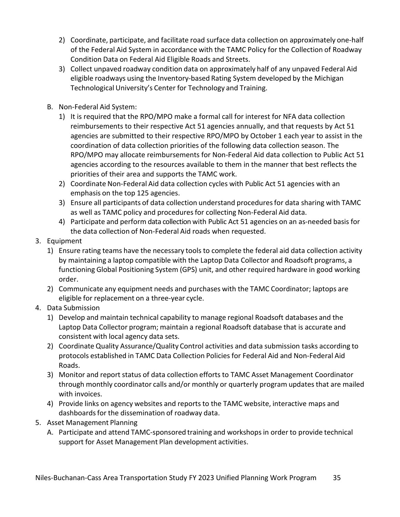- 2) Coordinate, participate, and facilitate road surface data collection on approximately one-half of the Federal Aid System in accordance with the TAMC Policy for the Collection of Roadway Condition Data on Federal Aid Eligible Roads and Streets.
- 3) Collect unpaved roadway condition data on approximately half of any unpaved Federal Aid eligible roadways using the Inventory-based Rating System developed by the Michigan Technological University's Center for Technology and Training.
- B. Non-Federal Aid System:
	- 1) It is required that the RPO/MPO make a formal call for interest for NFA data collection reimbursements to their respective Act 51 agencies annually, and that requests by Act 51 agencies are submitted to their respective RPO/MPO by October 1 each year to assist in the coordination of data collection priorities of the following data collection season. The RPO/MPO may allocate reimbursements for Non-Federal Aid data collection to Public Act 51 agencies according to the resources available to them in the manner that best reflects the priorities of their area and supports the TAMC work.
	- 2) Coordinate Non-Federal Aid data collection cycles with Public Act 51 agencies with an emphasis on the top 125 agencies.
	- 3) Ensure all participants of data collection understand proceduresfor data sharing with TAMC as well as TAMC policy and procedures for collecting Non-Federal Aid data.
	- 4) Participate and perform data collection with Public Act 51 agencies on an as-needed basis for the data collection of Non-Federal Aid roads when requested.
- 3. Equipment
	- 1) Ensure rating teams have the necessary tools to complete the federal aid data collection activity by maintaining a laptop compatible with the Laptop Data Collector and Roadsoft programs, a functioning Global Positioning System (GPS) unit, and other required hardware in good working order.
	- 2) Communicate any equipment needs and purchases with the TAMC Coordinator; laptops are eligible for replacement on a three-year cycle.
- 4. Data Submission
	- 1) Develop and maintain technical capability to manage regional Roadsoft databases and the Laptop Data Collector program; maintain a regional Roadsoft database that is accurate and consistent with local agency data sets.
	- 2) Coordinate Quality Assurance/Quality Control activities and data submission tasks according to protocols established in TAMC Data Collection Policiesfor Federal Aid and Non-Federal Aid Roads.
	- 3) Monitor and report status of data collection efforts to TAMC Asset Management Coordinator through monthly coordinator calls and/or monthly or quarterly program updatesthat are mailed with invoices.
	- 4) Provide links on agency websites and reports to the TAMC website, interactive maps and dashboards for the dissemination of roadway data.
- 5. Asset Management Planning
	- A. Participate and attend TAMC-sponsored training and workshopsin order to provide technical support for Asset Management Plan development activities.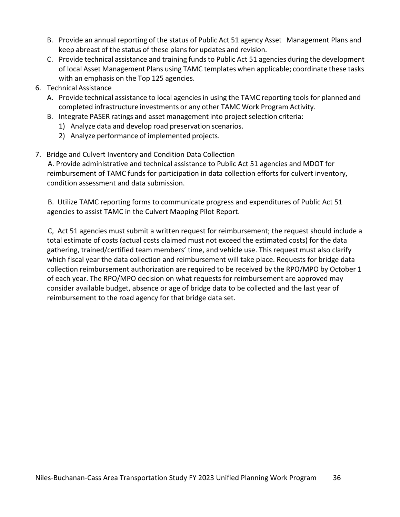- B. Provide an annual reporting of the status of Public Act 51 agency Asset Management Plans and keep abreast of the status of these plans for updates and revision.
- C. Provide technical assistance and training funds to Public Act 51 agencies during the development of local Asset Management Plans using TAMC templates when applicable; coordinate these tasks with an emphasis on the Top 125 agencies.
- 6. Technical Assistance
	- A. Provide technical assistance to local agencies in using the TAMC reporting tools for planned and completed infrastructure investments or any other TAMC Work Program Activity.
	- B. Integrate PASER ratings and asset management into project selection criteria:
		- 1) Analyze data and develop road preservation scenarios.
		- 2) Analyze performance of implemented projects.
- 7. Bridge and Culvert Inventory and Condition Data Collection

A. Provide administrative and technical assistance to Public Act 51 agencies and MDOT for reimbursement of TAMC funds for participation in data collection efforts for culvert inventory, condition assessment and data submission.

B. Utilize TAMC reporting forms to communicate progress and expenditures of Public Act 51 agencies to assist TAMC in the Culvert Mapping Pilot Report.

C, Act 51 agencies must submit a written request for reimbursement; the request should include a total estimate of costs (actual costs claimed must not exceed the estimated costs) for the data gathering, trained/certified team members' time, and vehicle use. This request must also clarify which fiscal year the data collection and reimbursement will take place. Requests for bridge data collection reimbursement authorization are required to be received by the RPO/MPO by October 1 of each year. The RPO/MPO decision on what requests for reimbursement are approved may consider available budget, absence or age of bridge data to be collected and the last year of reimbursement to the road agency for that bridge data set.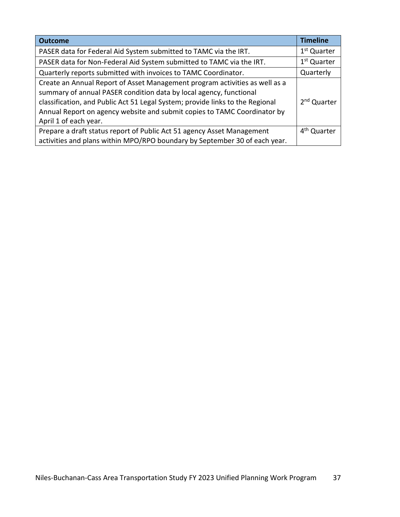| <b>Outcome</b>                                                                                                                                                                                                                                                                                                                          | <b>Timeline</b>         |
|-----------------------------------------------------------------------------------------------------------------------------------------------------------------------------------------------------------------------------------------------------------------------------------------------------------------------------------------|-------------------------|
| PASER data for Federal Aid System submitted to TAMC via the IRT.                                                                                                                                                                                                                                                                        | 1 <sup>st</sup> Quarter |
| PASER data for Non-Federal Aid System submitted to TAMC via the IRT.                                                                                                                                                                                                                                                                    | 1 <sup>st</sup> Quarter |
| Quarterly reports submitted with invoices to TAMC Coordinator.                                                                                                                                                                                                                                                                          | Quarterly               |
| Create an Annual Report of Asset Management program activities as well as a<br>summary of annual PASER condition data by local agency, functional<br>classification, and Public Act 51 Legal System; provide links to the Regional<br>Annual Report on agency website and submit copies to TAMC Coordinator by<br>April 1 of each year. | 2 <sup>nd</sup> Quarter |
| Prepare a draft status report of Public Act 51 agency Asset Management                                                                                                                                                                                                                                                                  | 4 <sup>th</sup> Quarter |
| activities and plans within MPO/RPO boundary by September 30 of each year.                                                                                                                                                                                                                                                              |                         |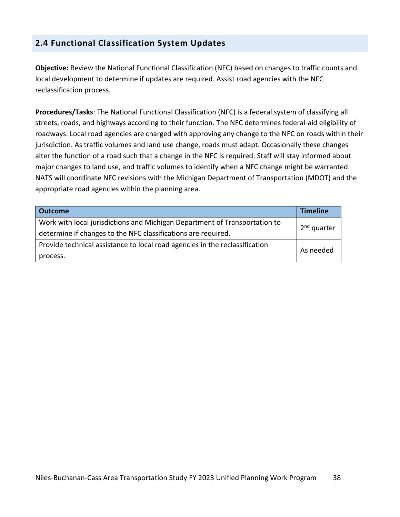## **2.4 Functional Classification System Updates**

**Objective:** Review the National Functional Classification (NFC) based on changes to traffic counts and local development to determine if updates are required. Assist road agencies with the NFC reclassification process.

**Procedures/Tasks**: The National Functional Classification (NFC) is a federal system of classifying all streets, roads, and highways according to their function. The NFC determines federal-aid eligibility of roadways. Local road agencies are charged with approving any change to the NFC on roads within their jurisdiction. As traffic volumes and land use change, roads must adapt. Occasionally these changes alter the function of a road such that a change in the NFC is required. Staff will stay informed about major changes to land use, and traffic volumes to identify when a NFC change might be warranted. NATS will coordinate NFC revisions with the Michigan Department of Transportation (MDOT) and the appropriate road agencies within the planning area.

| <b>Outcome</b>                                                              | <b>Timeline</b>         |  |  |  |  |
|-----------------------------------------------------------------------------|-------------------------|--|--|--|--|
| Work with local jurisdictions and Michigan Department of Transportation to  | 2 <sup>nd</sup> quarter |  |  |  |  |
| determine if changes to the NFC classifications are required.               |                         |  |  |  |  |
| Provide technical assistance to local road agencies in the reclassification | As needed               |  |  |  |  |
| process.                                                                    |                         |  |  |  |  |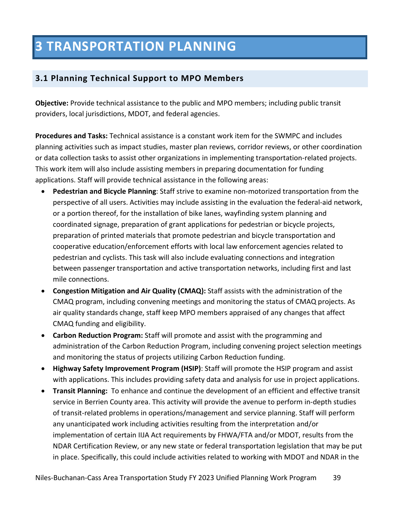# **3 TRANSPORTATION PLANNING**

## **3.1 Planning Technical Support to MPO Members**

**Objective:** Provide technical assistance to the public and MPO members; including public transit providers, local jurisdictions, MDOT, and federal agencies.

**Procedures and Tasks:** Technical assistance is a constant work item for the SWMPC and includes planning activities such as impact studies, master plan reviews, corridor reviews, or other coordination or data collection tasks to assist other organizations in implementing transportation-related projects. This work item will also include assisting members in preparing documentation for funding applications. Staff will provide technical assistance in the following areas:

- **Pedestrian and Bicycle Planning**: Staff strive to examine non-motorized transportation from the perspective of all users. Activities may include assisting in the evaluation the federal-aid network, or a portion thereof, for the installation of bike lanes, wayfinding system planning and coordinated signage, preparation of grant applications for pedestrian or bicycle projects, preparation of printed materials that promote pedestrian and bicycle transportation and cooperative education/enforcement efforts with local law enforcement agencies related to pedestrian and cyclists. This task will also include evaluating connections and integration between passenger transportation and active transportation networks, including first and last mile connections.
- **Congestion Mitigation and Air Quality (CMAQ):** Staff assists with the administration of the CMAQ program, including convening meetings and monitoring the status of CMAQ projects. As air quality standards change, staff keep MPO members appraised of any changes that affect CMAQ funding and eligibility.
- **Carbon Reduction Program:** Staff will promote and assist with the programming and administration of the Carbon Reduction Program, including convening project selection meetings and monitoring the status of projects utilizing Carbon Reduction funding.
- **Highway Safety Improvement Program (HSIP)**: Staff will promote the HSIP program and assist with applications. This includes providing safety data and analysis for use in project applications.
- **Transit Planning:** To enhance and continue the development of an efficient and effective transit service in Berrien County area. This activity will provide the avenue to perform in-depth studies of transit-related problems in operations/management and service planning. Staff will perform any unanticipated work including activities resulting from the interpretation and/or implementation of certain IIJA Act requirements by FHWA/FTA and/or MDOT, results from the NDAR Certification Review, or any new state or federal transportation legislation that may be put in place. Specifically, this could include activities related to working with MDOT and NDAR in the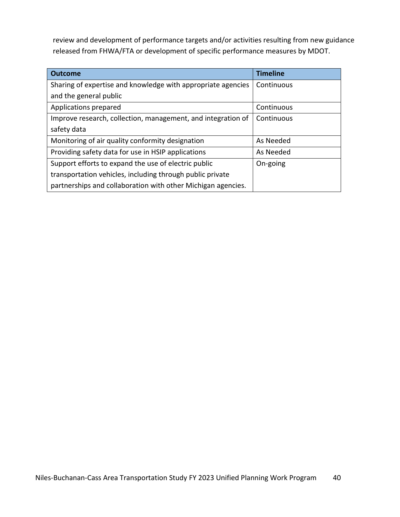review and development of performance targets and/or activities resulting from new guidance released from FHWA/FTA or development of specific performance measures by MDOT.

| <b>Outcome</b>                                               | <b>Timeline</b> |  |  |  |
|--------------------------------------------------------------|-----------------|--|--|--|
| Sharing of expertise and knowledge with appropriate agencies | Continuous      |  |  |  |
| and the general public                                       |                 |  |  |  |
| Applications prepared                                        | Continuous      |  |  |  |
| Improve research, collection, management, and integration of | Continuous      |  |  |  |
| safety data                                                  |                 |  |  |  |
| Monitoring of air quality conformity designation             | As Needed       |  |  |  |
| Providing safety data for use in HSIP applications           | As Needed       |  |  |  |
| Support efforts to expand the use of electric public         | On-going        |  |  |  |
| transportation vehicles, including through public private    |                 |  |  |  |
| partnerships and collaboration with other Michigan agencies. |                 |  |  |  |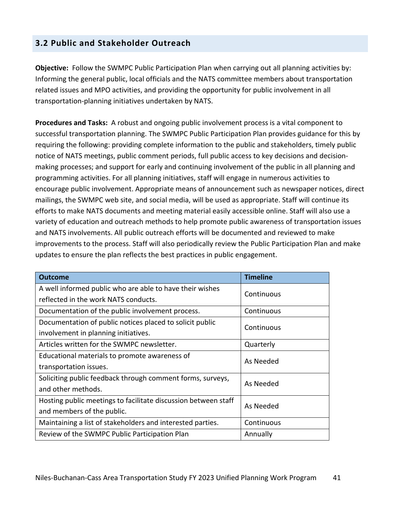## **3.2 Public and Stakeholder Outreach**

**Objective:** Follow the SWMPC Public Participation Plan when carrying out all planning activities by: Informing the general public, local officials and the NATS committee members about transportation related issues and MPO activities, and providing the opportunity for public involvement in all transportation-planning initiatives undertaken by NATS.

**Procedures and Tasks:** A robust and ongoing public involvement process is a vital component to successful transportation planning. The SWMPC Public Participation Plan provides guidance for this by requiring the following: providing complete information to the public and stakeholders, timely public notice of NATS meetings, public comment periods, full public access to key decisions and decisionmaking processes; and support for early and continuing involvement of the public in all planning and programming activities. For all planning initiatives, staff will engage in numerous activities to encourage public involvement. Appropriate means of announcement such as newspaper notices, direct mailings, the SWMPC web site, and social media, will be used as appropriate. Staff will continue its efforts to make NATS documents and meeting material easily accessible online. Staff will also use a variety of education and outreach methods to help promote public awareness of transportation issues and NATS involvements. All public outreach efforts will be documented and reviewed to make improvements to the process. Staff will also periodically review the Public Participation Plan and make updates to ensure the plan reflects the best practices in public engagement.

| <b>Outcome</b>                                                 | <b>Timeline</b> |  |  |  |
|----------------------------------------------------------------|-----------------|--|--|--|
| A well informed public who are able to have their wishes       | Continuous      |  |  |  |
| reflected in the work NATS conducts.                           |                 |  |  |  |
| Documentation of the public involvement process.               | Continuous      |  |  |  |
| Documentation of public notices placed to solicit public       | Continuous      |  |  |  |
| involvement in planning initiatives.                           |                 |  |  |  |
| Articles written for the SWMPC newsletter.                     | Quarterly       |  |  |  |
| Educational materials to promote awareness of                  | As Needed       |  |  |  |
| transportation issues.                                         |                 |  |  |  |
| Soliciting public feedback through comment forms, surveys,     | As Needed       |  |  |  |
| and other methods.                                             |                 |  |  |  |
| Hosting public meetings to facilitate discussion between staff | As Needed       |  |  |  |
| and members of the public.                                     |                 |  |  |  |
| Maintaining a list of stakeholders and interested parties.     | Continuous      |  |  |  |
| Review of the SWMPC Public Participation Plan                  | Annually        |  |  |  |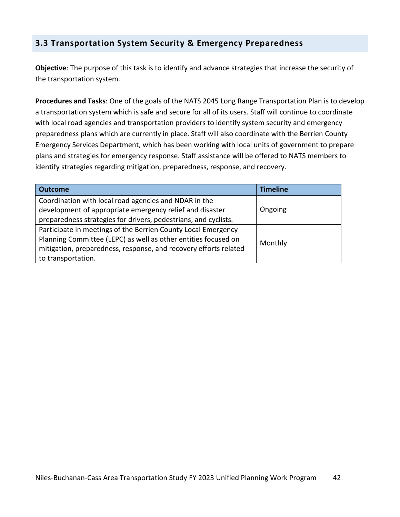## **3.3 Transportation System Security & Emergency Preparedness**

**Objective**: The purpose of this task is to identify and advance strategies that increase the security of the transportation system.

**Procedures and Tasks**: One of the goals of the NATS 2045 Long Range Transportation Plan is to develop a transportation system which is safe and secure for all of its users. Staff will continue to coordinate with local road agencies and transportation providers to identify system security and emergency preparedness plans which are currently in place. Staff will also coordinate with the Berrien County Emergency Services Department, which has been working with local units of government to prepare plans and strategies for emergency response. Staff assistance will be offered to NATS members to identify strategies regarding mitigation, preparedness, response, and recovery.

| <b>Outcome</b>                                                   | <b>Timeline</b> |  |  |  |
|------------------------------------------------------------------|-----------------|--|--|--|
| Coordination with local road agencies and NDAR in the            |                 |  |  |  |
| development of appropriate emergency relief and disaster         | Ongoing         |  |  |  |
| preparedness strategies for drivers, pedestrians, and cyclists.  |                 |  |  |  |
| Participate in meetings of the Berrien County Local Emergency    |                 |  |  |  |
| Planning Committee (LEPC) as well as other entities focused on   | Monthly         |  |  |  |
| mitigation, preparedness, response, and recovery efforts related |                 |  |  |  |
| to transportation.                                               |                 |  |  |  |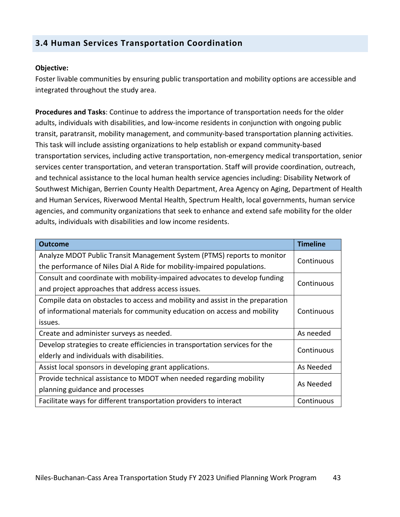## **3.4 Human Services Transportation Coordination**

#### **Objective:**

Foster livable communities by ensuring public transportation and mobility options are accessible and integrated throughout the study area.

**Procedures and Tasks**: Continue to address the importance of transportation needs for the older adults, individuals with disabilities, and low-income residents in conjunction with ongoing public transit, paratransit, mobility management, and community-based transportation planning activities. This task will include assisting organizations to help establish or expand community-based transportation services, including active transportation, non-emergency medical transportation, senior services center transportation, and veteran transportation. Staff will provide coordination, outreach, and technical assistance to the local human health service agencies including: Disability Network of Southwest Michigan, Berrien County Health Department, Area Agency on Aging, Department of Health and Human Services, Riverwood Mental Health, Spectrum Health, local governments, human service agencies, and community organizations that seek to enhance and extend safe mobility for the older adults, individuals with disabilities and low income residents.

| <b>Outcome</b>                                                                 | <b>Timeline</b> |  |  |  |  |
|--------------------------------------------------------------------------------|-----------------|--|--|--|--|
| Analyze MDOT Public Transit Management System (PTMS) reports to monitor        |                 |  |  |  |  |
| the performance of Niles Dial A Ride for mobility-impaired populations.        | Continuous      |  |  |  |  |
| Consult and coordinate with mobility-impaired advocates to develop funding     |                 |  |  |  |  |
| and project approaches that address access issues.                             | Continuous      |  |  |  |  |
| Compile data on obstacles to access and mobility and assist in the preparation |                 |  |  |  |  |
| of informational materials for community education on access and mobility      | Continuous      |  |  |  |  |
| issues.                                                                        |                 |  |  |  |  |
| Create and administer surveys as needed.                                       | As needed       |  |  |  |  |
| Develop strategies to create efficiencies in transportation services for the   | Continuous      |  |  |  |  |
| elderly and individuals with disabilities.                                     |                 |  |  |  |  |
| Assist local sponsors in developing grant applications.                        | As Needed       |  |  |  |  |
| Provide technical assistance to MDOT when needed regarding mobility            | As Needed       |  |  |  |  |
| planning guidance and processes                                                |                 |  |  |  |  |
| Facilitate ways for different transportation providers to interact             | Continuous      |  |  |  |  |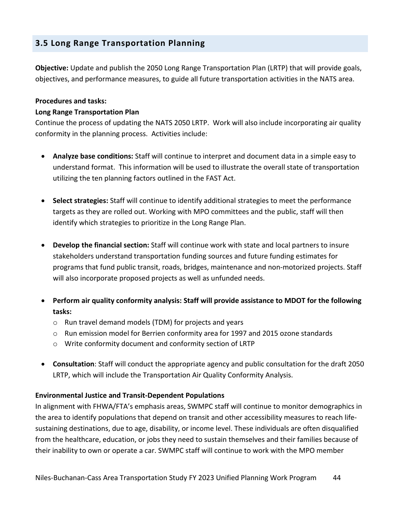## **3.5 Long Range Transportation Planning**

**Objective:** Update and publish the 2050 Long Range Transportation Plan (LRTP) that will provide goals, objectives, and performance measures, to guide all future transportation activities in the NATS area.

#### **Procedures and tasks:**

#### **Long Range Transportation Plan**

Continue the process of updating the NATS 2050 LRTP. Work will also include incorporating air quality conformity in the planning process. Activities include:

- **Analyze base conditions:** Staff will continue to interpret and document data in a simple easy to understand format. This information will be used to illustrate the overall state of transportation utilizing the ten planning factors outlined in the FAST Act.
- **Select strategies:** Staff will continue to identify additional strategies to meet the performance targets as they are rolled out. Working with MPO committees and the public, staff will then identify which strategies to prioritize in the Long Range Plan.
- **Develop the financial section:** Staff will continue work with state and local partners to insure stakeholders understand transportation funding sources and future funding estimates for programs that fund public transit, roads, bridges, maintenance and non-motorized projects. Staff will also incorporate proposed projects as well as unfunded needs.
- **Perform air quality conformity analysis: Staff will provide assistance to MDOT for the following tasks:** 
	- o Run travel demand models (TDM) for projects and years
	- $\circ$  Run emission model for Berrien conformity area for 1997 and 2015 ozone standards
	- o Write conformity document and conformity section of LRTP
- **Consultation**: Staff will conduct the appropriate agency and public consultation for the draft 2050 LRTP, which will include the Transportation Air Quality Conformity Analysis.

## **Environmental Justice and Transit-Dependent Populations**

In alignment with FHWA/FTA's emphasis areas, SWMPC staff will continue to monitor demographics in the area to identify populations that depend on transit and other accessibility measures to reach lifesustaining destinations, due to age, disability, or income level. These individuals are often disqualified from the healthcare, education, or jobs they need to sustain themselves and their families because of their inability to own or operate a car. SWMPC staff will continue to work with the MPO member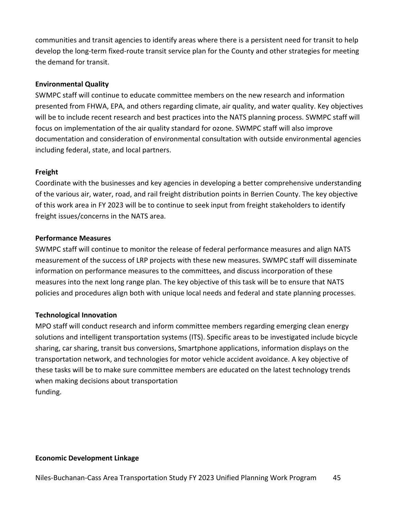communities and transit agencies to identify areas where there is a persistent need for transit to help develop the long-term fixed-route transit service plan for the County and other strategies for meeting the demand for transit.

#### **Environmental Quality**

SWMPC staff will continue to educate committee members on the new research and information presented from FHWA, EPA, and others regarding climate, air quality, and water quality. Key objectives will be to include recent research and best practices into the NATS planning process. SWMPC staff will focus on implementation of the air quality standard for ozone. SWMPC staff will also improve documentation and consideration of environmental consultation with outside environmental agencies including federal, state, and local partners.

#### **Freight**

Coordinate with the businesses and key agencies in developing a better comprehensive understanding of the various air, water, road, and rail freight distribution points in Berrien County. The key objective of this work area in FY 2023 will be to continue to seek input from freight stakeholders to identify freight issues/concerns in the NATS area.

#### **Performance Measures**

SWMPC staff will continue to monitor the release of federal performance measures and align NATS measurement of the success of LRP projects with these new measures. SWMPC staff will disseminate information on performance measures to the committees, and discuss incorporation of these measures into the next long range plan. The key objective of this task will be to ensure that NATS policies and procedures align both with unique local needs and federal and state planning processes.

#### **Technological Innovation**

MPO staff will conduct research and inform committee members regarding emerging clean energy solutions and intelligent transportation systems (ITS). Specific areas to be investigated include bicycle sharing, car sharing, transit bus conversions, Smartphone applications, information displays on the transportation network, and technologies for motor vehicle accident avoidance. A key objective of these tasks will be to make sure committee members are educated on the latest technology trends when making decisions about transportation funding.

#### **Economic Development Linkage**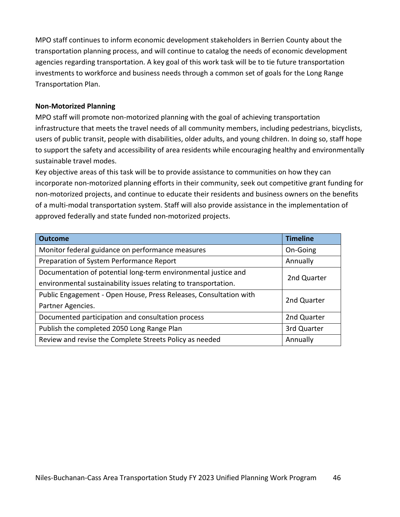MPO staff continues to inform economic development stakeholders in Berrien County about the transportation planning process, and will continue to catalog the needs of economic development agencies regarding transportation. A key goal of this work task will be to tie future transportation investments to workforce and business needs through a common set of goals for the Long Range Transportation Plan.

#### **Non-Motorized Planning**

MPO staff will promote non-motorized planning with the goal of achieving transportation infrastructure that meets the travel needs of all community members, including pedestrians, bicyclists, users of public transit, people with disabilities, older adults, and young children. In doing so, staff hope to support the safety and accessibility of area residents while encouraging healthy and environmentally sustainable travel modes.

Key objective areas of this task will be to provide assistance to communities on how they can incorporate non-motorized planning efforts in their community, seek out competitive grant funding for non-motorized projects, and continue to educate their residents and business owners on the benefits of a multi-modal transportation system. Staff will also provide assistance in the implementation of approved federally and state funded non-motorized projects.

| <b>Outcome</b>                                                    | <b>Timeline</b> |  |
|-------------------------------------------------------------------|-----------------|--|
| Monitor federal guidance on performance measures                  | On-Going        |  |
| Preparation of System Performance Report                          | Annually        |  |
| Documentation of potential long-term environmental justice and    | 2nd Quarter     |  |
| environmental sustainability issues relating to transportation.   |                 |  |
| Public Engagement - Open House, Press Releases, Consultation with | 2nd Quarter     |  |
| Partner Agencies.                                                 |                 |  |
| Documented participation and consultation process                 | 2nd Quarter     |  |
| Publish the completed 2050 Long Range Plan                        | 3rd Quarter     |  |
| Review and revise the Complete Streets Policy as needed           | Annually        |  |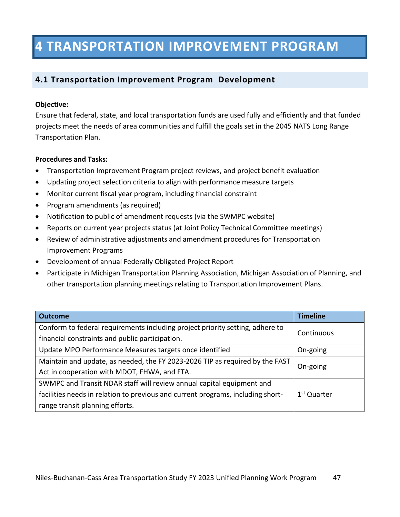# **4 TRANSPORTATION IMPROVEMENT PROGRAM**

## **4.1 Transportation Improvement Program Development**

## **Objective:**

Ensure that federal, state, and local transportation funds are used fully and efficiently and that funded projects meet the needs of area communities and fulfill the goals set in the 2045 NATS Long Range Transportation Plan.

## **Procedures and Tasks:**

- Transportation Improvement Program project reviews, and project benefit evaluation
- Updating project selection criteria to align with performance measure targets
- Monitor current fiscal year program, including financial constraint
- Program amendments (as required)
- Notification to public of amendment requests (via the SWMPC website)
- Reports on current year projects status (at Joint Policy Technical Committee meetings)
- Review of administrative adjustments and amendment procedures for Transportation Improvement Programs
- Development of annual Federally Obligated Project Report
- Participate in Michigan Transportation Planning Association, Michigan Association of Planning, and other transportation planning meetings relating to Transportation Improvement Plans.

| <b>Outcome</b>                                                                  | <b>Timeline</b>         |  |  |
|---------------------------------------------------------------------------------|-------------------------|--|--|
| Conform to federal requirements including project priority setting, adhere to   |                         |  |  |
| financial constraints and public participation.                                 | Continuous              |  |  |
| Update MPO Performance Measures targets once identified                         | On-going                |  |  |
| Maintain and update, as needed, the FY 2023-2026 TIP as required by the FAST    |                         |  |  |
| Act in cooperation with MDOT, FHWA, and FTA.                                    | On-going                |  |  |
| SWMPC and Transit NDAR staff will review annual capital equipment and           |                         |  |  |
| facilities needs in relation to previous and current programs, including short- | 1 <sup>st</sup> Quarter |  |  |
| range transit planning efforts.                                                 |                         |  |  |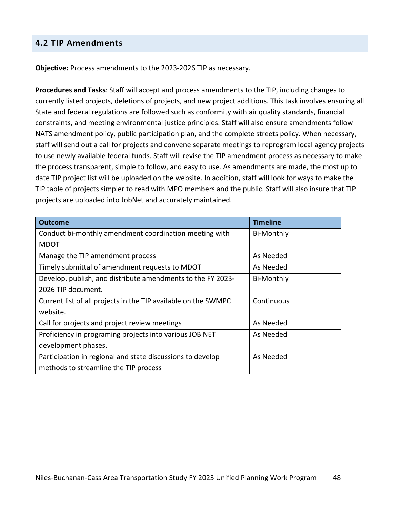## **4.2 TIP Amendments**

**Objective:** Process amendments to the 2023-2026 TIP as necessary.

**Procedures and Tasks**: Staff will accept and process amendments to the TIP, including changes to currently listed projects, deletions of projects, and new project additions. This task involves ensuring all State and federal regulations are followed such as conformity with air quality standards, financial constraints, and meeting environmental justice principles. Staff will also ensure amendments follow NATS amendment policy, public participation plan, and the complete streets policy. When necessary, staff will send out a call for projects and convene separate meetings to reprogram local agency projects to use newly available federal funds. Staff will revise the TIP amendment process as necessary to make the process transparent, simple to follow, and easy to use. As amendments are made, the most up to date TIP project list will be uploaded on the website. In addition, staff will look for ways to make the TIP table of projects simpler to read with MPO members and the public. Staff will also insure that TIP projects are uploaded into JobNet and accurately maintained.

| <b>Outcome</b>                                                 | <b>Timeline</b>   |
|----------------------------------------------------------------|-------------------|
| Conduct bi-monthly amendment coordination meeting with         | <b>Bi-Monthly</b> |
| <b>MDOT</b>                                                    |                   |
| Manage the TIP amendment process                               | As Needed         |
| Timely submittal of amendment requests to MDOT                 | As Needed         |
| Develop, publish, and distribute amendments to the FY 2023-    | <b>Bi-Monthly</b> |
| 2026 TIP document.                                             |                   |
| Current list of all projects in the TIP available on the SWMPC | Continuous        |
| website.                                                       |                   |
| Call for projects and project review meetings                  | As Needed         |
| Proficiency in programing projects into various JOB NET        | As Needed         |
| development phases.                                            |                   |
| Participation in regional and state discussions to develop     | As Needed         |
| methods to streamline the TIP process                          |                   |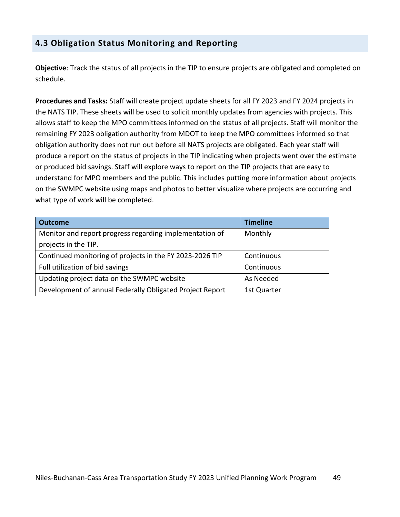## **4.3 Obligation Status Monitoring and Reporting**

**Objective**: Track the status of all projects in the TIP to ensure projects are obligated and completed on schedule.

**Procedures and Tasks:** Staff will create project update sheets for all FY 2023 and FY 2024 projects in the NATS TIP. These sheets will be used to solicit monthly updates from agencies with projects. This allows staff to keep the MPO committees informed on the status of all projects. Staff will monitor the remaining FY 2023 obligation authority from MDOT to keep the MPO committees informed so that obligation authority does not run out before all NATS projects are obligated. Each year staff will produce a report on the status of projects in the TIP indicating when projects went over the estimate or produced bid savings. Staff will explore ways to report on the TIP projects that are easy to understand for MPO members and the public. This includes putting more information about projects on the SWMPC website using maps and photos to better visualize where projects are occurring and what type of work will be completed.

| <b>Outcome</b>                                           | <b>Timeline</b> |
|----------------------------------------------------------|-----------------|
| Monitor and report progress regarding implementation of  | Monthly         |
| projects in the TIP.                                     |                 |
| Continued monitoring of projects in the FY 2023-2026 TIP | Continuous      |
| Full utilization of bid savings                          | Continuous      |
| Updating project data on the SWMPC website               | As Needed       |
| Development of annual Federally Obligated Project Report | 1st Quarter     |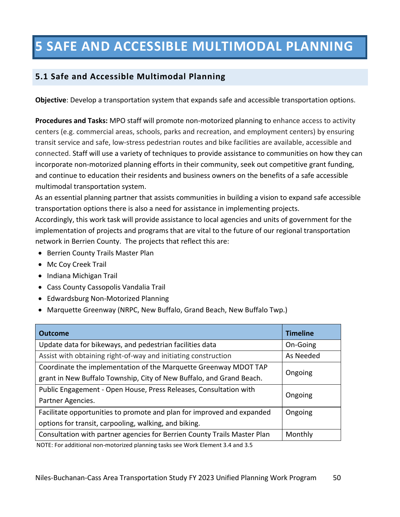# **5 SAFE AND ACCESSIBLE MULTIMODAL PLANNING**

## **5.1 Safe and Accessible Multimodal Planning**

**Objective**: Develop a transportation system that expands safe and accessible transportation options.

**Procedures and Tasks:** MPO staff will promote non-motorized planning to enhance access to activity centers (e.g. commercial areas, schools, parks and recreation, and employment centers) by ensuring transit service and safe, low-stress pedestrian routes and bike facilities are available, accessible and connected. Staff will use a variety of techniques to provide assistance to communities on how they can incorporate non-motorized planning efforts in their community, seek out competitive grant funding, and continue to education their residents and business owners on the benefits of a safe accessible multimodal transportation system.

As an essential planning partner that assists communities in building a vision to expand safe accessible transportation options there is also a need for assistance in implementing projects.

Accordingly, this work task will provide assistance to local agencies and units of government for the implementation of projects and programs that are vital to the future of our regional transportation network in Berrien County. The projects that reflect this are:

- Berrien County Trails Master Plan
- Mc Coy Creek Trail
- Indiana Michigan Trail
- Cass County Cassopolis Vandalia Trail
- Edwardsburg Non-Motorized Planning
- Marquette Greenway (NRPC, New Buffalo, Grand Beach, New Buffalo Twp.)

| <b>Outcome</b>                                                           | <b>Timeline</b> |  |
|--------------------------------------------------------------------------|-----------------|--|
| Update data for bikeways, and pedestrian facilities data                 | On-Going        |  |
| Assist with obtaining right-of-way and initiating construction           | As Needed       |  |
| Coordinate the implementation of the Marquette Greenway MDOT TAP         |                 |  |
| grant in New Buffalo Township, City of New Buffalo, and Grand Beach.     | Ongoing         |  |
| Public Engagement - Open House, Press Releases, Consultation with        | Ongoing         |  |
| Partner Agencies.                                                        |                 |  |
| Facilitate opportunities to promote and plan for improved and expanded   | Ongoing         |  |
| options for transit, carpooling, walking, and biking.                    |                 |  |
| Consultation with partner agencies for Berrien County Trails Master Plan | Monthly         |  |
|                                                                          |                 |  |

NOTE: For additional non-motorized planning tasks see Work Element 3.4 and 3.5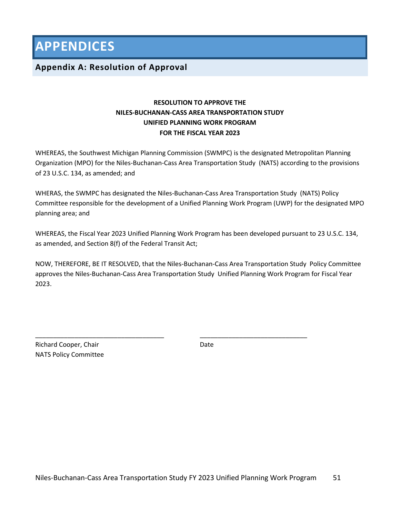**APPENDICES**

## **Appendix A: Resolution of Approval**

## **RESOLUTION TO APPROVE THE NILES-BUCHANAN-CASS AREA TRANSPORTATION STUDY UNIFIED PLANNING WORK PROGRAM FOR THE FISCAL YEAR 2023**

WHEREAS, the Southwest Michigan Planning Commission (SWMPC) is the designated Metropolitan Planning Organization (MPO) for the Niles-Buchanan-Cass Area Transportation Study (NATS) according to the provisions of 23 U.S.C. 134, as amended; and

WHERAS, the SWMPC has designated the Niles-Buchanan-Cass Area Transportation Study (NATS) Policy Committee responsible for the development of a Unified Planning Work Program (UWP) for the designated MPO planning area; and

WHEREAS, the Fiscal Year 2023 Unified Planning Work Program has been developed pursuant to 23 U.S.C. 134, as amended, and Section 8(f) of the Federal Transit Act;

NOW, THEREFORE, BE IT RESOLVED, that the Niles-Buchanan-Cass Area Transportation Study Policy Committee approves the Niles-Buchanan-Cass Area Transportation Study Unified Planning Work Program for Fiscal Year 2023.

Richard Cooper, Chair Date NATS Policy Committee

\_\_\_\_\_\_\_\_\_\_\_\_\_\_\_\_\_\_\_\_\_\_\_\_\_\_\_\_\_\_\_\_\_\_\_\_ \_\_\_\_\_\_\_\_\_\_\_\_\_\_\_\_\_\_\_\_\_\_\_\_\_\_\_\_\_\_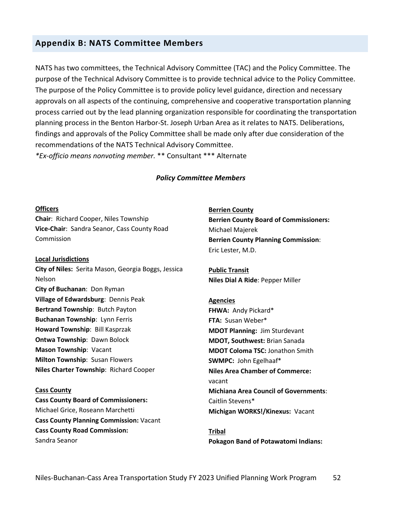## **Appendix B: NATS Committee Members**

NATS has two committees, the Technical Advisory Committee (TAC) and the Policy Committee. The purpose of the Technical Advisory Committee is to provide technical advice to the Policy Committee. The purpose of the Policy Committee is to provide policy level guidance, direction and necessary approvals on all aspects of the continuing, comprehensive and cooperative transportation planning process carried out by the lead planning organization responsible for coordinating the transportation planning process in the Benton Harbor-St. Joseph Urban Area as it relates to NATS. Deliberations, findings and approvals of the Policy Committee shall be made only after due consideration of the recommendations of the NATS Technical Advisory Committee. *\*Ex-officio means nonvoting member.* \*\* Consultant \*\*\* Alternate

#### *Policy Committee Members*

#### **Officers**

**Chair**: Richard Cooper, Niles Township **Vice-Chair**: Sandra Seanor, Cass County Road Commission

#### **Local Jurisdictions**

**City of Niles:** Serita Mason, Georgia Boggs, Jessica Nelson **City of Buchanan**: Don Ryman **Village of Edwardsburg**: Dennis Peak **Bertrand Township**: Butch Payton **Buchanan Township**: Lynn Ferris **Howard Township**: Bill Kasprzak **Ontwa Township**: Dawn Bolock **Mason Township**: Vacant **Milton Township**: Susan Flowers **Niles Charter Township**: Richard Cooper

#### **Cass County**

**Cass County Board of Commissioners:** Michael Grice, Roseann Marchetti **Cass County Planning Commission:** Vacant **Cass County Road Commission:** Sandra Seanor

**Berrien County Berrien County Board of Commissioners:** Michael Majerek **Berrien County Planning Commission**: Eric Lester, M.D.

**Public Transit Niles Dial A Ride**: Pepper Miller

#### **Agencies**

**FHWA:** Andy Pickard\* **FTA:** Susan Weber\* **MDOT Planning:** Jim Sturdevant **MDOT, Southwest:** Brian Sanada **MDOT Coloma TSC:** Jonathon Smith **SWMPC:** John Egelhaaf\* **Niles Area Chamber of Commerce:** vacant **Michiana Area Council of Governments**: Caitlin Stevens\* **Michigan WORKS!/Kinexus:** Vacant

**Tribal Pokagon Band of Potawatomi Indians:**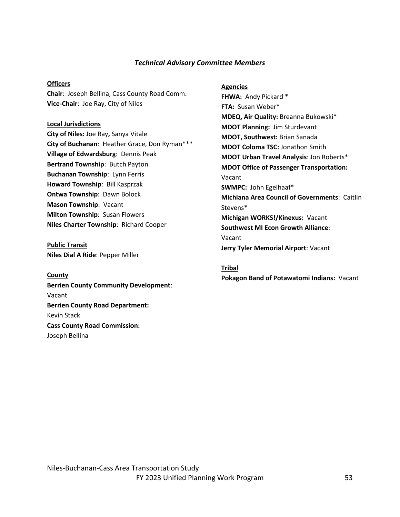#### *Technical Advisory Committee Members*

#### **Officers**

**Chair**: Joseph Bellina, Cass County Road Comm. **Vice-Chair**: Joe Ray, City of Niles

#### **Local Jurisdictions**

**City of Niles:** Joe Ray**,** Sanya Vitale **City of Buchanan**: Heather Grace, Don Ryman\*\*\* **Village of Edwardsburg**: Dennis Peak **Bertrand Township**: Butch Payton **Buchanan Township**: Lynn Ferris **Howard Township**: Bill Kasprzak **Ontwa Township**: Dawn Bolock **Mason Township**: Vacant **Milton Township**: Susan Flowers **Niles Charter Township**: Richard Cooper

**Public Transit Niles Dial A Ride**: Pepper Miller

#### **County**

**Berrien County Community Development**: Vacant **Berrien County Road Department:** Kevin Stack **Cass County Road Commission:** Joseph Bellina

#### **Agencies**

FHWA: Andy Pickard \* **FTA:** Susan Weber\* **MDEQ, Air Quality:** Breanna Bukowski\* **MDOT Planning:** Jim Sturdevant **MDOT, Southwest:** Brian Sanada **MDOT Coloma TSC:** Jonathon Smith **MDOT Urban Travel Analysis**: Jon Roberts\* **MDOT Office of Passenger Transportation:**  Vacant **SWMPC:** John Egelhaaf\* **Michiana Area Council of Governments**: Caitlin Stevens\* **Michigan WORKS!/Kinexus:** Vacant **Southwest MI Econ Growth Alliance**: Vacant **Jerry Tyler Memorial Airport**: Vacant

#### **Tribal**

**Pokagon Band of Potawatomi Indians:** Vacant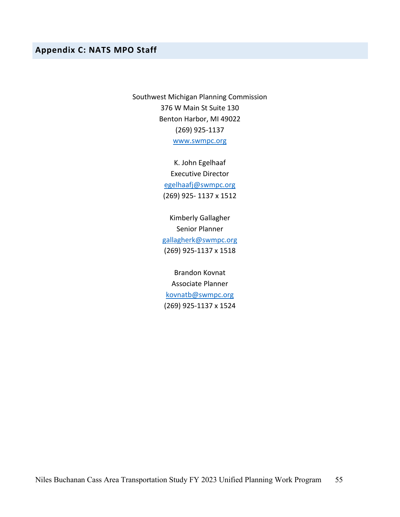## **Appendix C: NATS MPO Staff**

Southwest Michigan Planning Commission 376 W Main St Suite 130 Benton Harbor, MI 49022 (269) 925-1137 www.swmpc.org

> K. John Egelhaaf Executive Director egelhaafj@swmpc.org (269) 925- 1137 x 1512

Kimberly Gallagher Senior Planner gallagherk@swmpc.org (269) 925-1137 x 1518

Brandon Kovnat Associate Planner kovnatb@swmpc.org (269) 925-1137 x 1524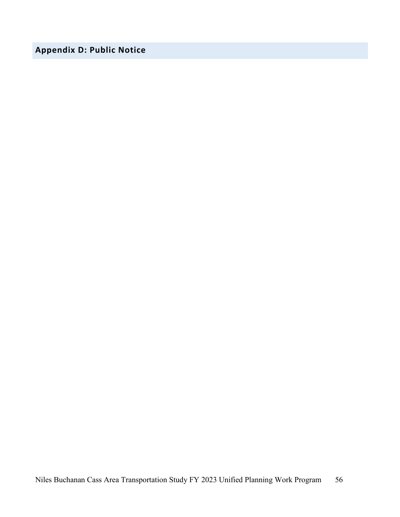## **Appendix D: Public Notice**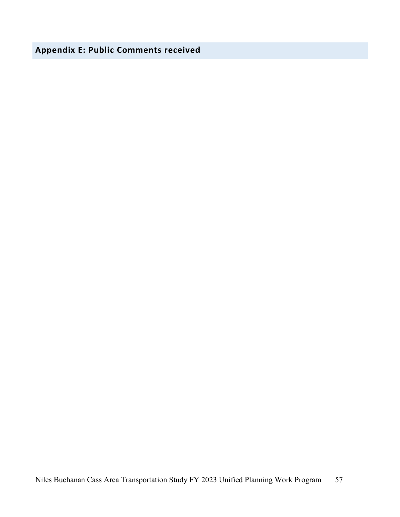**Appendix E: Public Comments received**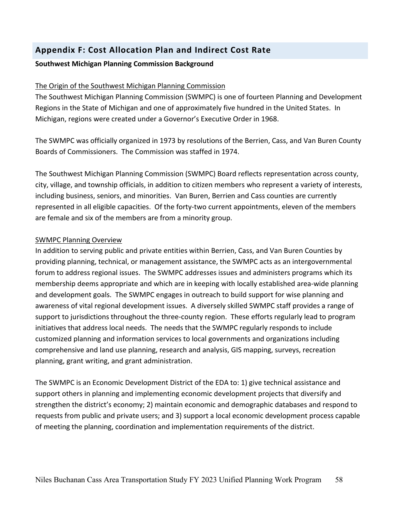## **Appendix F: Cost Allocation Plan and Indirect Cost Rate**

## **Southwest Michigan Planning Commission Background**

## The Origin of the Southwest Michigan Planning Commission

The Southwest Michigan Planning Commission (SWMPC) is one of fourteen Planning and Development Regions in the State of Michigan and one of approximately five hundred in the United States. In Michigan, regions were created under a Governor's Executive Order in 1968.

The SWMPC was officially organized in 1973 by resolutions of the Berrien, Cass, and Van Buren County Boards of Commissioners. The Commission was staffed in 1974.

The Southwest Michigan Planning Commission (SWMPC) Board reflects representation across county, city, village, and township officials, in addition to citizen members who represent a variety of interests, including business, seniors, and minorities. Van Buren, Berrien and Cass counties are currently represented in all eligible capacities. Of the forty-two current appointments, eleven of the members are female and six of the members are from a minority group.

## SWMPC Planning Overview

In addition to serving public and private entities within Berrien, Cass, and Van Buren Counties by providing planning, technical, or management assistance, the SWMPC acts as an intergovernmental forum to address regional issues. The SWMPC addresses issues and administers programs which its membership deems appropriate and which are in keeping with locally established area-wide planning and development goals. The SWMPC engages in outreach to build support for wise planning and awareness of vital regional development issues. A diversely skilled SWMPC staff provides a range of support to jurisdictions throughout the three-county region. These efforts regularly lead to program initiatives that address local needs. The needs that the SWMPC regularly responds to include customized planning and information services to local governments and organizations including comprehensive and land use planning, research and analysis, GIS mapping, surveys, recreation planning, grant writing, and grant administration.

The SWMPC is an Economic Development District of the EDA to: 1) give technical assistance and support others in planning and implementing economic development projects that diversify and strengthen the district's economy; 2) maintain economic and demographic databases and respond to requests from public and private users; and 3) support a local economic development process capable of meeting the planning, coordination and implementation requirements of the district.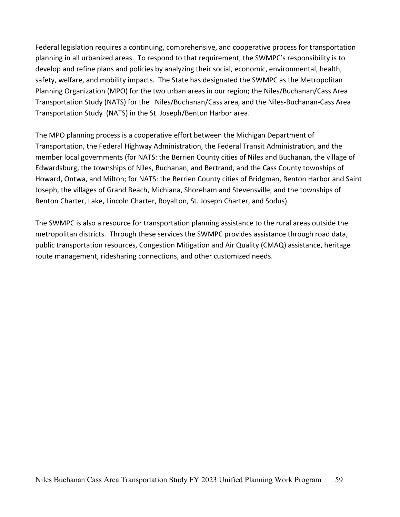Federal legislation requires a continuing, comprehensive, and cooperative process for transportation planning in all urbanized areas. To respond to that requirement, the SWMPC's responsibility is to develop and refine plans and policies by analyzing their social, economic, environmental, health, safety, welfare, and mobility impacts. The State has designated the SWMPC as the Metropolitan Planning Organization (MPO) for the two urban areas in our region; the Niles/Buchanan/Cass Area Transportation Study (NATS) for the Niles/Buchanan/Cass area, and the Niles-Buchanan-Cass Area Transportation Study (NATS) in the St. Joseph/Benton Harbor area.

The MPO planning process is a cooperative effort between the Michigan Department of Transportation, the Federal Highway Administration, the Federal Transit Administration, and the member local governments (for NATS: the Berrien County cities of Niles and Buchanan, the village of Edwardsburg, the townships of Niles, Buchanan, and Bertrand, and the Cass County townships of Howard, Ontwa, and Milton; for NATS: the Berrien County cities of Bridgman, Benton Harbor and Saint Joseph, the villages of Grand Beach, Michiana, Shoreham and Stevensville, and the townships of Benton Charter, Lake, Lincoln Charter, Royalton, St. Joseph Charter, and Sodus).

The SWMPC is also a resource for transportation planning assistance to the rural areas outside the metropolitan districts. Through these services the SWMPC provides assistance through road data, public transportation resources, Congestion Mitigation and Air Quality (CMAQ) assistance, heritage route management, ridesharing connections, and other customized needs.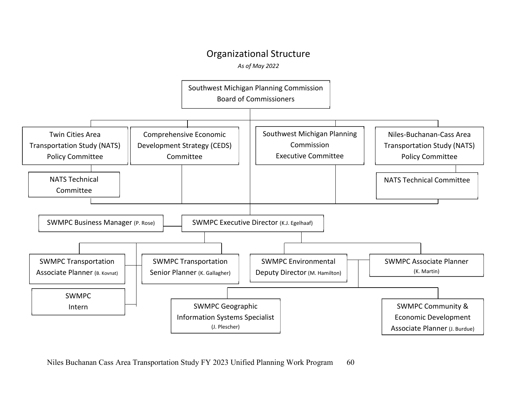## Organizational Structure

*As of May 2022*

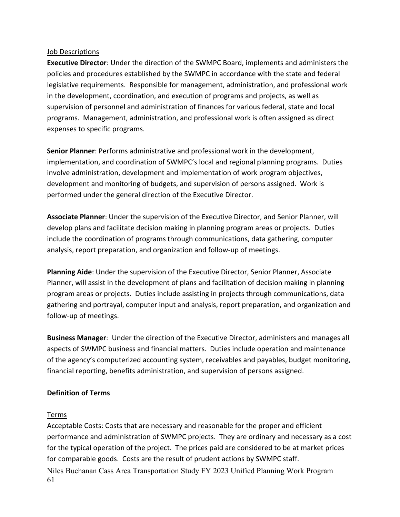#### Job Descriptions

**Executive Director**: Under the direction of the SWMPC Board, implements and administers the policies and procedures established by the SWMPC in accordance with the state and federal legislative requirements. Responsible for management, administration, and professional work in the development, coordination, and execution of programs and projects, as well as supervision of personnel and administration of finances for various federal, state and local programs. Management, administration, and professional work is often assigned as direct expenses to specific programs.

**Senior Planner**: Performs administrative and professional work in the development, implementation, and coordination of SWMPC's local and regional planning programs. Duties involve administration, development and implementation of work program objectives, development and monitoring of budgets, and supervision of persons assigned. Work is performed under the general direction of the Executive Director.

**Associate Planner**: Under the supervision of the Executive Director, and Senior Planner, will develop plans and facilitate decision making in planning program areas or projects. Duties include the coordination of programs through communications, data gathering, computer analysis, report preparation, and organization and follow-up of meetings.

**Planning Aide**: Under the supervision of the Executive Director, Senior Planner, Associate Planner, will assist in the development of plans and facilitation of decision making in planning program areas or projects. Duties include assisting in projects through communications, data gathering and portrayal, computer input and analysis, report preparation, and organization and follow-up of meetings.

**Business Manager**: Under the direction of the Executive Director, administers and manages all aspects of SWMPC business and financial matters. Duties include operation and maintenance of the agency's computerized accounting system, receivables and payables, budget monitoring, financial reporting, benefits administration, and supervision of persons assigned.

## **Definition of Terms**

## Terms

Niles Buchanan Cass Area Transportation Study FY 2023 Unified Planning Work Program 61 Acceptable Costs: Costs that are necessary and reasonable for the proper and efficient performance and administration of SWMPC projects. They are ordinary and necessary as a cost for the typical operation of the project. The prices paid are considered to be at market prices for comparable goods. Costs are the result of prudent actions by SWMPC staff.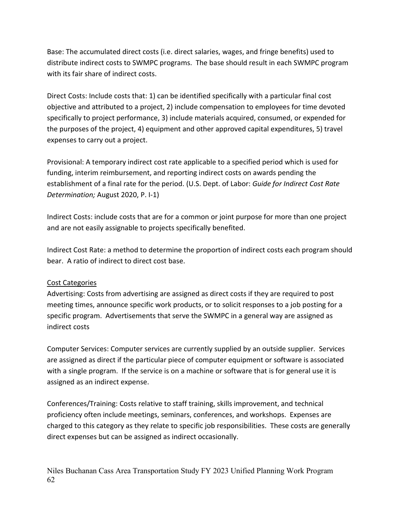Base: The accumulated direct costs (i.e. direct salaries, wages, and fringe benefits) used to distribute indirect costs to SWMPC programs. The base should result in each SWMPC program with its fair share of indirect costs.

Direct Costs: Include costs that: 1) can be identified specifically with a particular final cost objective and attributed to a project, 2) include compensation to employees for time devoted specifically to project performance, 3) include materials acquired, consumed, or expended for the purposes of the project, 4) equipment and other approved capital expenditures, 5) travel expenses to carry out a project.

Provisional: A temporary indirect cost rate applicable to a specified period which is used for funding, interim reimbursement, and reporting indirect costs on awards pending the establishment of a final rate for the period. (U.S. Dept. of Labor: *Guide for Indirect Cost Rate Determination;* August 2020, P. I-1)

Indirect Costs: include costs that are for a common or joint purpose for more than one project and are not easily assignable to projects specifically benefited.

Indirect Cost Rate: a method to determine the proportion of indirect costs each program should bear. A ratio of indirect to direct cost base.

## Cost Categories

Advertising: Costs from advertising are assigned as direct costs if they are required to post meeting times, announce specific work products, or to solicit responses to a job posting for a specific program. Advertisements that serve the SWMPC in a general way are assigned as indirect costs

Computer Services: Computer services are currently supplied by an outside supplier. Services are assigned as direct if the particular piece of computer equipment or software is associated with a single program. If the service is on a machine or software that is for general use it is assigned as an indirect expense.

Conferences/Training: Costs relative to staff training, skills improvement, and technical proficiency often include meetings, seminars, conferences, and workshops. Expenses are charged to this category as they relate to specific job responsibilities. These costs are generally direct expenses but can be assigned as indirect occasionally.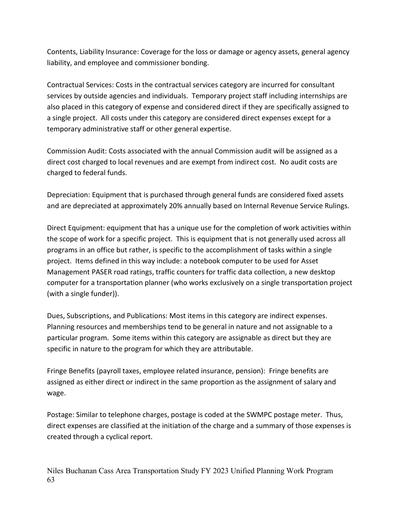Contents, Liability Insurance: Coverage for the loss or damage or agency assets, general agency liability, and employee and commissioner bonding.

Contractual Services: Costs in the contractual services category are incurred for consultant services by outside agencies and individuals. Temporary project staff including internships are also placed in this category of expense and considered direct if they are specifically assigned to a single project. All costs under this category are considered direct expenses except for a temporary administrative staff or other general expertise.

Commission Audit: Costs associated with the annual Commission audit will be assigned as a direct cost charged to local revenues and are exempt from indirect cost. No audit costs are charged to federal funds.

Depreciation: Equipment that is purchased through general funds are considered fixed assets and are depreciated at approximately 20% annually based on Internal Revenue Service Rulings.

Direct Equipment: equipment that has a unique use for the completion of work activities within the scope of work for a specific project. This is equipment that is not generally used across all programs in an office but rather, is specific to the accomplishment of tasks within a single project. Items defined in this way include: a notebook computer to be used for Asset Management PASER road ratings, traffic counters for traffic data collection, a new desktop computer for a transportation planner (who works exclusively on a single transportation project (with a single funder)).

Dues, Subscriptions, and Publications: Most items in this category are indirect expenses. Planning resources and memberships tend to be general in nature and not assignable to a particular program. Some items within this category are assignable as direct but they are specific in nature to the program for which they are attributable.

Fringe Benefits (payroll taxes, employee related insurance, pension): Fringe benefits are assigned as either direct or indirect in the same proportion as the assignment of salary and wage.

Postage: Similar to telephone charges, postage is coded at the SWMPC postage meter. Thus, direct expenses are classified at the initiation of the charge and a summary of those expenses is created through a cyclical report.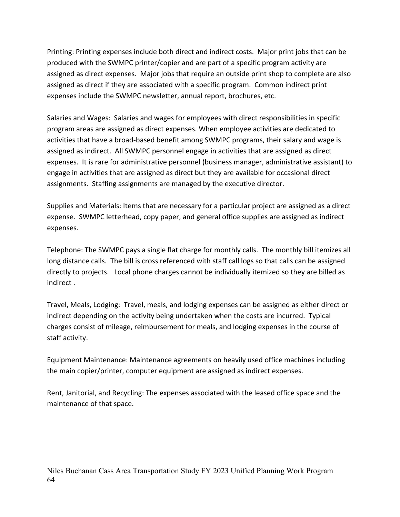Printing: Printing expenses include both direct and indirect costs. Major print jobs that can be produced with the SWMPC printer/copier and are part of a specific program activity are assigned as direct expenses. Major jobs that require an outside print shop to complete are also assigned as direct if they are associated with a specific program. Common indirect print expenses include the SWMPC newsletter, annual report, brochures, etc.

Salaries and Wages: Salaries and wages for employees with direct responsibilities in specific program areas are assigned as direct expenses. When employee activities are dedicated to activities that have a broad-based benefit among SWMPC programs, their salary and wage is assigned as indirect. All SWMPC personnel engage in activities that are assigned as direct expenses. It is rare for administrative personnel (business manager, administrative assistant) to engage in activities that are assigned as direct but they are available for occasional direct assignments. Staffing assignments are managed by the executive director.

Supplies and Materials: Items that are necessary for a particular project are assigned as a direct expense. SWMPC letterhead, copy paper, and general office supplies are assigned as indirect expenses.

Telephone: The SWMPC pays a single flat charge for monthly calls. The monthly bill itemizes all long distance calls. The bill is cross referenced with staff call logs so that calls can be assigned directly to projects. Local phone charges cannot be individually itemized so they are billed as indirect .

Travel, Meals, Lodging: Travel, meals, and lodging expenses can be assigned as either direct or indirect depending on the activity being undertaken when the costs are incurred. Typical charges consist of mileage, reimbursement for meals, and lodging expenses in the course of staff activity.

Equipment Maintenance: Maintenance agreements on heavily used office machines including the main copier/printer, computer equipment are assigned as indirect expenses.

Rent, Janitorial, and Recycling: The expenses associated with the leased office space and the maintenance of that space.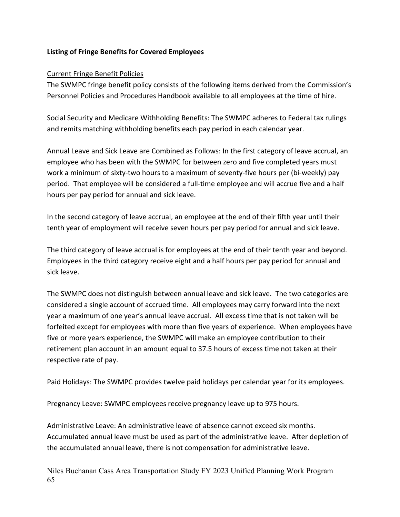#### **Listing of Fringe Benefits for Covered Employees**

#### Current Fringe Benefit Policies

The SWMPC fringe benefit policy consists of the following items derived from the Commission's Personnel Policies and Procedures Handbook available to all employees at the time of hire.

Social Security and Medicare Withholding Benefits: The SWMPC adheres to Federal tax rulings and remits matching withholding benefits each pay period in each calendar year.

Annual Leave and Sick Leave are Combined as Follows: In the first category of leave accrual, an employee who has been with the SWMPC for between zero and five completed years must work a minimum of sixty-two hours to a maximum of seventy-five hours per (bi-weekly) pay period. That employee will be considered a full-time employee and will accrue five and a half hours per pay period for annual and sick leave.

In the second category of leave accrual, an employee at the end of their fifth year until their tenth year of employment will receive seven hours per pay period for annual and sick leave.

The third category of leave accrual is for employees at the end of their tenth year and beyond. Employees in the third category receive eight and a half hours per pay period for annual and sick leave.

The SWMPC does not distinguish between annual leave and sick leave. The two categories are considered a single account of accrued time. All employees may carry forward into the next year a maximum of one year's annual leave accrual. All excess time that is not taken will be forfeited except for employees with more than five years of experience. When employees have five or more years experience, the SWMPC will make an employee contribution to their retirement plan account in an amount equal to 37.5 hours of excess time not taken at their respective rate of pay.

Paid Holidays: The SWMPC provides twelve paid holidays per calendar year for its employees.

Pregnancy Leave: SWMPC employees receive pregnancy leave up to 975 hours.

Administrative Leave: An administrative leave of absence cannot exceed six months. Accumulated annual leave must be used as part of the administrative leave. After depletion of the accumulated annual leave, there is not compensation for administrative leave.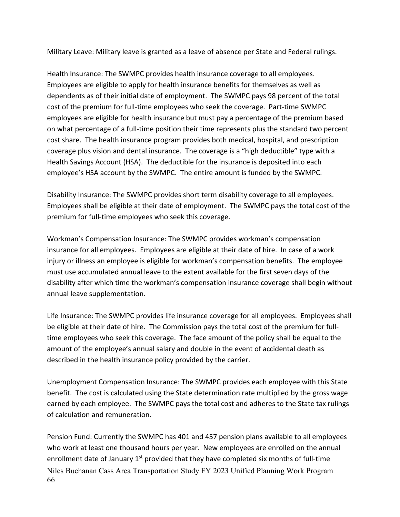Military Leave: Military leave is granted as a leave of absence per State and Federal rulings.

Health Insurance: The SWMPC provides health insurance coverage to all employees. Employees are eligible to apply for health insurance benefits for themselves as well as dependents as of their initial date of employment. The SWMPC pays 98 percent of the total cost of the premium for full-time employees who seek the coverage. Part-time SWMPC employees are eligible for health insurance but must pay a percentage of the premium based on what percentage of a full-time position their time represents plus the standard two percent cost share. The health insurance program provides both medical, hospital, and prescription coverage plus vision and dental insurance. The coverage is a "high deductible" type with a Health Savings Account (HSA). The deductible for the insurance is deposited into each employee's HSA account by the SWMPC. The entire amount is funded by the SWMPC.

Disability Insurance: The SWMPC provides short term disability coverage to all employees. Employees shall be eligible at their date of employment. The SWMPC pays the total cost of the premium for full-time employees who seek this coverage.

Workman's Compensation Insurance: The SWMPC provides workman's compensation insurance for all employees. Employees are eligible at their date of hire. In case of a work injury or illness an employee is eligible for workman's compensation benefits. The employee must use accumulated annual leave to the extent available for the first seven days of the disability after which time the workman's compensation insurance coverage shall begin without annual leave supplementation.

Life Insurance: The SWMPC provides life insurance coverage for all employees. Employees shall be eligible at their date of hire. The Commission pays the total cost of the premium for fulltime employees who seek this coverage. The face amount of the policy shall be equal to the amount of the employee's annual salary and double in the event of accidental death as described in the health insurance policy provided by the carrier.

Unemployment Compensation Insurance: The SWMPC provides each employee with this State benefit. The cost is calculated using the State determination rate multiplied by the gross wage earned by each employee. The SWMPC pays the total cost and adheres to the State tax rulings of calculation and remuneration.

Niles Buchanan Cass Area Transportation Study FY 2023 Unified Planning Work Program 66 Pension Fund: Currently the SWMPC has 401 and 457 pension plans available to all employees who work at least one thousand hours per year. New employees are enrolled on the annual enrollment date of January  $1<sup>st</sup>$  provided that they have completed six months of full-time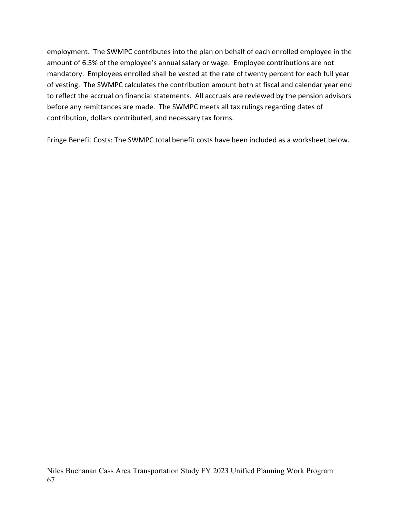employment. The SWMPC contributes into the plan on behalf of each enrolled employee in the amount of 6.5% of the employee's annual salary or wage. Employee contributions are not mandatory. Employees enrolled shall be vested at the rate of twenty percent for each full year of vesting. The SWMPC calculates the contribution amount both at fiscal and calendar year end to reflect the accrual on financial statements. All accruals are reviewed by the pension advisors before any remittances are made. The SWMPC meets all tax rulings regarding dates of contribution, dollars contributed, and necessary tax forms.

Fringe Benefit Costs: The SWMPC total benefit costs have been included as a worksheet below.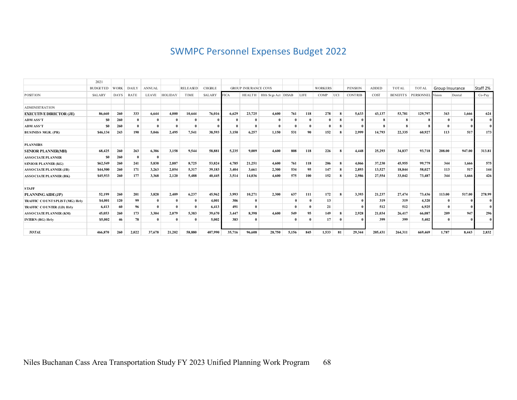## SWMPC Personnel Expenses Budget 2022

|                                  | 2021            |             |              |               |                |                 |               |             |                             |                            |          |             |                |              |                |              |                 |                  |                 |        |              |
|----------------------------------|-----------------|-------------|--------------|---------------|----------------|-----------------|---------------|-------------|-----------------------------|----------------------------|----------|-------------|----------------|--------------|----------------|--------------|-----------------|------------------|-----------------|--------|--------------|
|                                  | <b>BUDGETED</b> | <b>WORK</b> | <b>DAILY</b> | <b>ANNUAL</b> |                | <b>RELEASED</b> | <b>CHGBLE</b> |             | <b>GROUP INSURANCE COVS</b> |                            |          |             | <b>WORKERS</b> |              | <b>PENSION</b> | <b>ADDED</b> | <b>TOTAL</b>    | <b>TOTAL</b>     | Group Insurance |        | Staff 2%     |
| <b>POSITION</b>                  | <b>SALARY</b>   | <b>DAYS</b> | RATE         | <b>LEAVE</b>  | <b>HOLIDAY</b> | TIME            | <b>SALARY</b> | <b>FICA</b> |                             | HEALTH Hith Svgs Act DISAB |          | <b>LIFE</b> | COMP           | UCI          | <b>CONTRIB</b> | COST         | <b>BENEFITS</b> | PERSONNEL Vision |                 | Dental | Co-Pay       |
|                                  |                 |             |              |               |                |                 |               |             |                             |                            |          |             |                |              |                |              |                 |                  |                 |        |              |
| <b>ADMINISTRATION</b>            |                 |             |              |               |                |                 |               |             |                             |                            |          |             |                |              |                |              |                 |                  |                 |        |              |
| <b>EXECUTIVE DIRECTOR (JE)</b>   | 86,660          | 260         | 333          | 6.644         | 4.000          | 10.644          | 76.016        | 6.629       | 23,725                      | 4.600                      | 761      | 118         | 278            | 8            | 5,633          | 43,137       | 53,781          | 129,797          | 343             | 1.666  | 624          |
| <b>ADM ASS'T</b>                 | \$0             | 260         | $\mathbf{0}$ |               |                |                 |               |             | $\mathbf{0}$                |                            |          |             |                | 8            |                |              | 8               |                  |                 |        | $\bf{0}$     |
| <b>ADM ASS'T</b>                 | S <sub>0</sub>  | 260         | $\mathbf{0}$ |               |                |                 |               |             | $\theta$                    |                            | $\theta$ |             |                | 8            |                |              | $\mathbf{R}$    |                  |                 |        | $\mathbf{0}$ |
| <b>BUSINESS MGR. (PR)</b>        | \$46,134        | 243         | 190          | 5.046         | 2.495          | 7,541           | 38.593        | 3,150       | 6,257                       | 1,150                      | 531      | 90          | 152            | 8            | 2,999          | 14,793       | 22,335          | 60.927           | 113             | 517    | 173          |
| <b>PLANNERS</b>                  |                 |             |              |               |                |                 |               |             |                             |                            |          |             |                |              |                |              |                 |                  |                 |        |              |
| <b>SENIOR PLANNER(MH)</b>        | 68.425          | 260         | 263          | 6.386         | 3.158          | 9.544           | 58,881        | 5,235       | 9,009                       | 4.600                      | 808      | 118         | 226            | 8            | 4.448          | 25,293       | 34,837          | 93,718           | 208.00          | 947.00 | 313.81       |
| <b>ASSO CIATE PLANNER</b>        | <b>SO</b>       | 260         | $\mathbf{0}$ | $\theta$      |                |                 |               |             |                             |                            |          |             |                |              |                |              |                 |                  |                 |        |              |
| <b>SENIOR PLANNER (KG)</b>       | \$62,549        | 260         | 241          | 5.838         | 2,887          | 8,725           | 53,824        | 4,785       | 21,251                      | 4.600                      | 761      | 118         | 206            | 8            | 4.066          | 37,230       | 45.955          | 99,779           | 344             | 1.666  | 575          |
| <b>ASSOCIATEPLANNER (JB)</b>     | \$44,500        | 260         | 171          | 3.263         | 2,054          | 5,317           | 39.183        | 3.404       | 3.661                       | 2,300                      | 534      | 95          | 147            | 8            | 2.893          | 13,527       | 18,844          | 58,027           | 113             | 517    | 144          |
| <b>ASSO CIATE PLANNER (BK)</b>   | \$45,933        | 260         | 177          | 3,368         | 2,120          | 5.488           | 40.445        | 3,514       | 14.036                      | 4.600                      | 575      | 100         | 152            | 8            | 2.986          | 27,554       | 33,042          | 73,487           | 344             | 1.666  | 426          |
| <b>STAFF</b>                     |                 |             |              |               |                |                 |               |             |                             |                            |          |             |                |              |                |              |                 |                  |                 |        |              |
| PLANNING AIDE(JP)                | 52,199          | 260         | 201          | 3.828         | 2.409          | 6.237           | 45,962        | 3.993       | 10.271                      | 2.300                      | 637      | 111         | 172            | 8            | 3.393          | 21,237       | 27,474          | 73,436           | 113.00          | 517.00 | 278.99       |
| TRAFFIC COUNT SPLIST (MG) Hrly   | \$4,001         | 120         | 99           |               |                |                 | 4,001         | 306         | $\mathbf{0}$                |                            |          |             | 13             |              |                | 319          | 319             | 4,320            |                 |        | $\bf{0}$     |
| <b>TRAFFIC COUNTER (LD) Hrly</b> | 6,413           | 60          | 96           |               |                |                 | 6,413         | 491         | $\mathbf{0}$                |                            |          |             | 21             |              |                | 512          | 512             | 6.925            |                 |        | $\mathbf{0}$ |
| <b>ASSO CIATE PLANNER (KM)</b>   | 45,053          | 260         | 173          | 3.304         | 2,079          | 5,383           | 39,670        | 3,447       | 8,398                       | 4.600                      | 549      | 95          | 149            | 8            | 2,928          | 21.034       | 26.417          | 66,087           | 209             | 947    | 296          |
| <b>INTERN (RG) Hrly</b>          | \$5,002         | 46          | 78           | $\theta$      |                | $\Omega$        | 5,002         | 383         | $\mathbf{0}$                |                            | $\theta$ |             | 17             | $\mathbf{0}$ |                | 399          | 399             | 5,402            |                 |        | $\bf{0}$     |
| <b>TOTAL</b>                     | 466,870         | 260         | 2.022        | 37,678        | 21.202         | 58.880          | 407.990       | 35,716      | 96,608                      | 28,750                     | 5,156    | 845         | 1,533          | 81           | 29.344         | 205.431      | 264.311         | 669.469          | 1.787           | 8,443  | 2,832        |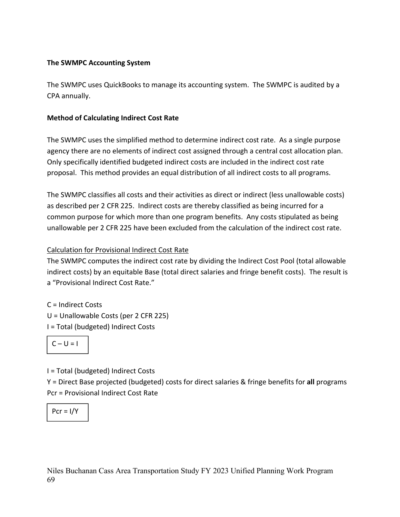## **The SWMPC Accounting System**

The SWMPC uses QuickBooks to manage its accounting system. The SWMPC is audited by a CPA annually.

## **Method of Calculating Indirect Cost Rate**

The SWMPC uses the simplified method to determine indirect cost rate. As a single purpose agency there are no elements of indirect cost assigned through a central cost allocation plan. Only specifically identified budgeted indirect costs are included in the indirect cost rate proposal. This method provides an equal distribution of all indirect costs to all programs.

The SWMPC classifies all costs and their activities as direct or indirect (less unallowable costs) as described per 2 CFR 225. Indirect costs are thereby classified as being incurred for a common purpose for which more than one program benefits. Any costs stipulated as being unallowable per 2 CFR 225 have been excluded from the calculation of the indirect cost rate.

## Calculation for Provisional Indirect Cost Rate

The SWMPC computes the indirect cost rate by dividing the Indirect Cost Pool (total allowable indirect costs) by an equitable Base (total direct salaries and fringe benefit costs). The result is a "Provisional Indirect Cost Rate."

C = Indirect Costs U = Unallowable Costs (per 2 CFR 225)

I = Total (budgeted) Indirect Costs

$$
C-U=I
$$

I = Total (budgeted) Indirect Costs

Y = Direct Base projected (budgeted) costs for direct salaries & fringe benefits for **all** programs Pcr = Provisional Indirect Cost Rate

$$
Pcr = I/Y
$$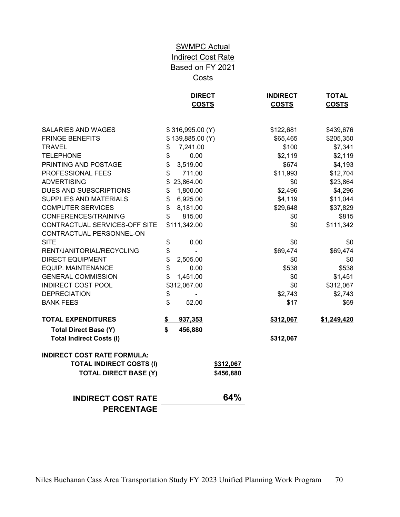## **SWMPC Actual** Indirect Cost Rate Based on FY 2021 Costs

|                                                                       | <b>DIRECT</b><br><b>COSTS</b> | <b>INDIRECT</b><br><b>COSTS</b> | <b>TOTAL</b><br><b>COSTS</b> |
|-----------------------------------------------------------------------|-------------------------------|---------------------------------|------------------------------|
| <b>SALARIES AND WAGES</b>                                             | \$316,995.00 (Y)              | \$122,681                       | \$439,676                    |
| <b>FRINGE BENEFITS</b>                                                | \$139,885.00 (Y)              | \$65,465                        | \$205,350                    |
| TRAVEL                                                                | 7,241.00<br>\$                | \$100                           | \$7,341                      |
| <b>TELEPHONE</b>                                                      | 0.00<br>\$                    | \$2,119                         | \$2,119                      |
| PRINTING AND POSTAGE                                                  | \$<br>3,519.00                | \$674                           | \$4,193                      |
| PROFESSIONAL FEES                                                     | \$<br>711.00                  | \$11,993                        | \$12,704                     |
| <b>ADVERTISING</b>                                                    | \$23,864.00                   | \$0                             | \$23,864                     |
| DUES AND SUBSCRIPTIONS                                                | 1,800.00<br>\$                | \$2,496                         | \$4,296                      |
| SUPPLIES AND MATERIALS                                                | 6,925.00<br>\$                | \$4,119                         | \$11,044                     |
| <b>COMPUTER SERVICES</b>                                              | \$<br>8,181.00                | \$29,648                        | \$37,829                     |
| CONFERENCES/TRAINING                                                  | \$<br>815.00                  | \$0                             | \$815                        |
| CONTRACTUAL SERVICES-OFF SITE<br>CONTRACTUAL PERSONNEL-ON             | \$111,342.00                  | \$0                             | \$111,342                    |
| <b>SITE</b>                                                           | \$<br>0.00                    | \$0                             | \$0                          |
| RENT/JANITORIAL/RECYCLING                                             | \$                            | \$69,474                        | \$69,474                     |
| <b>DIRECT EQUIPMENT</b>                                               | \$<br>2,505.00                | \$0                             | \$0                          |
| <b>EQUIP. MAINTENANCE</b>                                             | \$<br>0.00                    | \$538                           | \$538                        |
| <b>GENERAL COMMISSION</b>                                             | \$<br>1,451.00                | \$0                             | \$1,451                      |
| <b>INDIRECT COST POOL</b>                                             | \$312,067.00                  | \$0                             | \$312,067                    |
| <b>DEPRECIATION</b>                                                   | \$                            | \$2,743                         | \$2,743                      |
| <b>BANK FEES</b>                                                      | \$<br>52.00                   | \$17                            | \$69                         |
| <b>TOTAL EXPENDITURES</b>                                             | 937,353<br>S.                 | \$312,067                       | \$1,249,420                  |
| <b>Total Direct Base (Y)</b><br><b>Total Indirect Costs (I)</b>       | \$<br>456,880                 | \$312,067                       |                              |
| <b>INDIRECT COST RATE FORMULA:</b><br><b>TOTAL INDIRECT COSTS (I)</b> | \$312,067                     |                                 |                              |
| <b>TOTAL DIRECT BASE (Y)</b>                                          | \$456,880                     |                                 |                              |
| <b>INDIRECT COST RATE</b>                                             | 64%                           |                                 |                              |
| <b>PERCENTAGE</b>                                                     |                               |                                 |                              |
|                                                                       |                               |                                 |                              |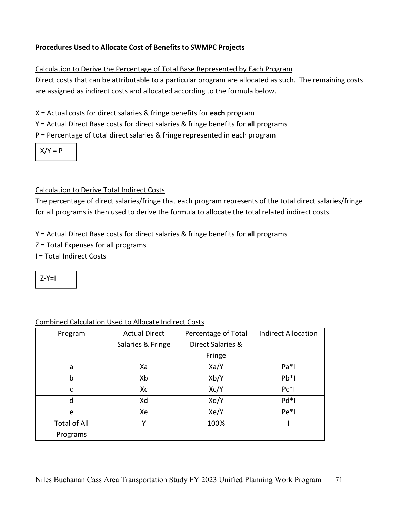## **Procedures Used to Allocate Cost of Benefits to SWMPC Projects**

#### Calculation to Derive the Percentage of Total Base Represented by Each Program

Direct costs that can be attributable to a particular program are allocated as such. The remaining costs are assigned as indirect costs and allocated according to the formula below.

X = Actual costs for direct salaries & fringe benefits for **each** program

Y = Actual Direct Base costs for direct salaries & fringe benefits for **all** programs

P = Percentage of total direct salaries & fringe represented in each program

 $X/Y = P$ 

## Calculation to Derive Total Indirect Costs

The percentage of direct salaries/fringe that each program represents of the total direct salaries/fringe for all programs is then used to derive the formula to allocate the total related indirect costs.

Y = Actual Direct Base costs for direct salaries & fringe benefits for **all** programs

- Z = Total Expenses for all programs
- I = Total Indirect Costs

 $7-Y=1$ 

| Program             | <b>Actual Direct</b> | Percentage of Total | <b>Indirect Allocation</b> |
|---------------------|----------------------|---------------------|----------------------------|
|                     | Salaries & Fringe    | Direct Salaries &   |                            |
|                     |                      | Fringe              |                            |
| a                   | Xa                   | Xa/Y                | $Pa*1$                     |
| b                   | Xb                   | Xb/Y                | $Pb*1$                     |
| C                   | Xc                   | Xc/Y                | $Pc*1$                     |
| d                   | Xd                   | Xd/Y                | $Pd*1$                     |
| e                   | Xe                   | Xe/Y                | $Pe*I$                     |
| <b>Total of All</b> | Υ                    | 100%                |                            |
| Programs            |                      |                     |                            |

## Combined Calculation Used to Allocate Indirect Costs